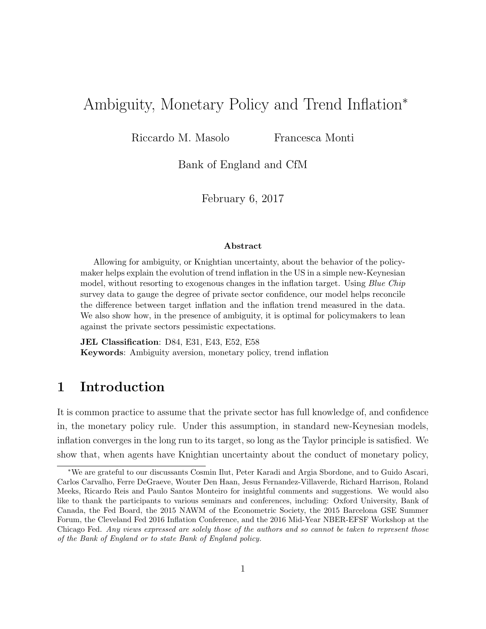# Ambiguity, Monetary Policy and Trend Inflation<sup>∗</sup>

Riccardo M. Masolo Francesca Monti

Bank of England and CfM

February 6, 2017

#### Abstract

Allowing for ambiguity, or Knightian uncertainty, about the behavior of the policymaker helps explain the evolution of trend inflation in the US in a simple new-Keynesian model, without resorting to exogenous changes in the inflation target. Using Blue Chip survey data to gauge the degree of private sector confidence, our model helps reconcile the difference between target inflation and the inflation trend measured in the data. We also show how, in the presence of ambiguity, it is optimal for policymakers to lean against the private sectors pessimistic expectations.

JEL Classification: D84, E31, E43, E52, E58 Keywords: Ambiguity aversion, monetary policy, trend inflation

# 1 Introduction

It is common practice to assume that the private sector has full knowledge of, and confidence in, the monetary policy rule. Under this assumption, in standard new-Keynesian models, inflation converges in the long run to its target, so long as the Taylor principle is satisfied. We show that, when agents have Knightian uncertainty about the conduct of monetary policy,

<sup>∗</sup>We are grateful to our discussants Cosmin Ilut, Peter Karadi and Argia Sbordone, and to Guido Ascari, Carlos Carvalho, Ferre DeGraeve, Wouter Den Haan, Jesus Fernandez-Villaverde, Richard Harrison, Roland Meeks, Ricardo Reis and Paulo Santos Monteiro for insightful comments and suggestions. We would also like to thank the participants to various seminars and conferences, including: Oxford University, Bank of Canada, the Fed Board, the 2015 NAWM of the Econometric Society, the 2015 Barcelona GSE Summer Forum, the Cleveland Fed 2016 Inflation Conference, and the 2016 Mid-Year NBER-EFSF Workshop at the Chicago Fed. Any views expressed are solely those of the authors and so cannot be taken to represent those of the Bank of England or to state Bank of England policy.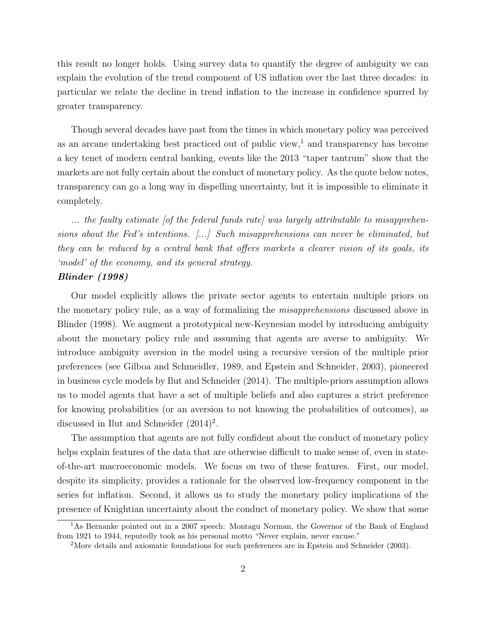this result no longer holds. Using survey data to quantify the degree of ambiguity we can explain the evolution of the trend component of US inflation over the last three decades: in particular we relate the decline in trend inflation to the increase in confidence spurred by greater transparency.

Though several decades have past from the times in which monetary policy was perceived as an arcane undertaking best practiced out of public view,<sup>1</sup> and transparency has become a key tenet of modern central banking, events like the 2013 "taper tantrum" show that the markets are not fully certain about the conduct of monetary policy. As the quote below notes, transparency can go a long way in dispelling uncertainty, but it is impossible to eliminate it completely.

... the faulty estimate [of the federal funds rate] was largely attributable to misapprehensions about the Fed's intentions. [...] Such misapprehensions can never be eliminated, but they can be reduced by a central bank that offers markets a clearer vision of its goals, its 'model' of the economy, and its general strategy.

#### Blinder (1998)

Our model explicitly allows the private sector agents to entertain multiple priors on the monetary policy rule, as a way of formalizing the misapprehensions discussed above in Blinder (1998). We augment a prototypical new-Keynesian model by introducing ambiguity about the monetary policy rule and assuming that agents are averse to ambiguity. We introduce ambiguity aversion in the model using a recursive version of the multiple prior preferences (see Gilboa and Schmeidler, 1989, and Epstein and Schneider, 2003), pioneered in business cycle models by Ilut and Schneider (2014). The multiple-priors assumption allows us to model agents that have a set of multiple beliefs and also captures a strict preference for knowing probabilities (or an aversion to not knowing the probabilities of outcomes), as discussed in Ilut and Schneider  $(2014)^2$ .

The assumption that agents are not fully confident about the conduct of monetary policy helps explain features of the data that are otherwise difficult to make sense of, even in stateof-the-art macroeconomic models. We focus on two of these features. First, our model, despite its simplicity, provides a rationale for the observed low-frequency component in the series for inflation. Second, it allows us to study the monetary policy implications of the presence of Knightian uncertainty about the conduct of monetary policy. We show that some

<sup>&</sup>lt;sup>1</sup>As Bernanke pointed out in a 2007 speech: Montagu Norman, the Governor of the Bank of England from 1921 to 1944, reputedly took as his personal motto "Never explain, never excuse."

<sup>2</sup>More details and axiomatic foundations for such preferences are in Epstein and Schneider (2003).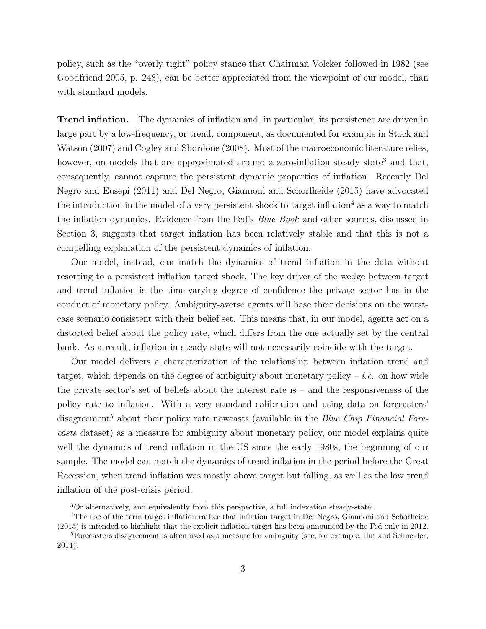policy, such as the "overly tight" policy stance that Chairman Volcker followed in 1982 (see Goodfriend 2005, p. 248), can be better appreciated from the viewpoint of our model, than with standard models.

Trend inflation. The dynamics of inflation and, in particular, its persistence are driven in large part by a low-frequency, or trend, component, as documented for example in Stock and Watson (2007) and Cogley and Sbordone (2008). Most of the macroeconomic literature relies, however, on models that are approximated around a zero-inflation steady state<sup>3</sup> and that, consequently, cannot capture the persistent dynamic properties of inflation. Recently Del Negro and Eusepi (2011) and Del Negro, Giannoni and Schorfheide (2015) have advocated the introduction in the model of a very persistent shock to target inflation<sup>4</sup> as a way to match the inflation dynamics. Evidence from the Fed's Blue Book and other sources, discussed in Section 3, suggests that target inflation has been relatively stable and that this is not a compelling explanation of the persistent dynamics of inflation.

Our model, instead, can match the dynamics of trend inflation in the data without resorting to a persistent inflation target shock. The key driver of the wedge between target and trend inflation is the time-varying degree of confidence the private sector has in the conduct of monetary policy. Ambiguity-averse agents will base their decisions on the worstcase scenario consistent with their belief set. This means that, in our model, agents act on a distorted belief about the policy rate, which differs from the one actually set by the central bank. As a result, inflation in steady state will not necessarily coincide with the target.

Our model delivers a characterization of the relationship between inflation trend and target, which depends on the degree of ambiguity about monetary policy – *i.e.* on how wide the private sector's set of beliefs about the interest rate is – and the responsiveness of the policy rate to inflation. With a very standard calibration and using data on forecasters' disagreement<sup>5</sup> about their policy rate nowcasts (available in the *Blue Chip Financial Fore*casts dataset) as a measure for ambiguity about monetary policy, our model explains quite well the dynamics of trend inflation in the US since the early 1980s, the beginning of our sample. The model can match the dynamics of trend inflation in the period before the Great Recession, when trend inflation was mostly above target but falling, as well as the low trend inflation of the post-crisis period.

<sup>&</sup>lt;sup>3</sup>Or alternatively, and equivalently from this perspective, a full indexation steady-state.

<sup>4</sup>The use of the term target inflation rather that inflation target in Del Negro, Giannoni and Schorheide (2015) is intended to highlight that the explicit inflation target has been announced by the Fed only in 2012. <sup>5</sup>Forecasters disagreement is often used as a measure for ambiguity (see, for example, Ilut and Schneider,

<sup>2014).</sup>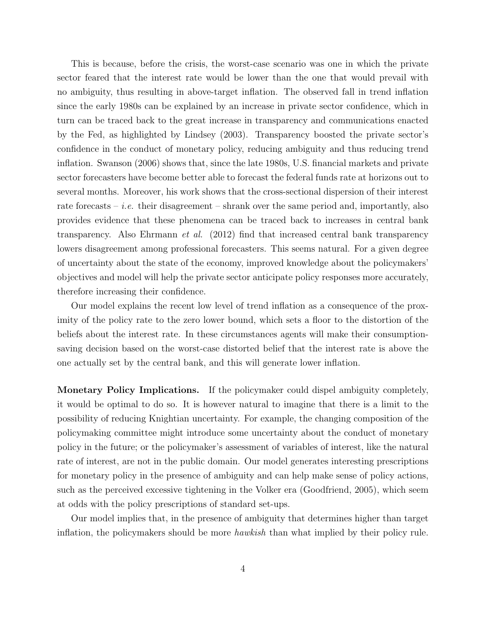This is because, before the crisis, the worst-case scenario was one in which the private sector feared that the interest rate would be lower than the one that would prevail with no ambiguity, thus resulting in above-target inflation. The observed fall in trend inflation since the early 1980s can be explained by an increase in private sector confidence, which in turn can be traced back to the great increase in transparency and communications enacted by the Fed, as highlighted by Lindsey (2003). Transparency boosted the private sector's confidence in the conduct of monetary policy, reducing ambiguity and thus reducing trend inflation. Swanson (2006) shows that, since the late 1980s, U.S. financial markets and private sector forecasters have become better able to forecast the federal funds rate at horizons out to several months. Moreover, his work shows that the cross-sectional dispersion of their interest rate forecasts – *i.e.* their disagreement – shrank over the same period and, importantly, also provides evidence that these phenomena can be traced back to increases in central bank transparency. Also Ehrmann et al. (2012) find that increased central bank transparency lowers disagreement among professional forecasters. This seems natural. For a given degree of uncertainty about the state of the economy, improved knowledge about the policymakers' objectives and model will help the private sector anticipate policy responses more accurately, therefore increasing their confidence.

Our model explains the recent low level of trend inflation as a consequence of the proximity of the policy rate to the zero lower bound, which sets a floor to the distortion of the beliefs about the interest rate. In these circumstances agents will make their consumptionsaving decision based on the worst-case distorted belief that the interest rate is above the one actually set by the central bank, and this will generate lower inflation.

Monetary Policy Implications. If the policymaker could dispel ambiguity completely, it would be optimal to do so. It is however natural to imagine that there is a limit to the possibility of reducing Knightian uncertainty. For example, the changing composition of the policymaking committee might introduce some uncertainty about the conduct of monetary policy in the future; or the policymaker's assessment of variables of interest, like the natural rate of interest, are not in the public domain. Our model generates interesting prescriptions for monetary policy in the presence of ambiguity and can help make sense of policy actions, such as the perceived excessive tightening in the Volker era (Goodfriend, 2005), which seem at odds with the policy prescriptions of standard set-ups.

Our model implies that, in the presence of ambiguity that determines higher than target inflation, the policymakers should be more hawkish than what implied by their policy rule.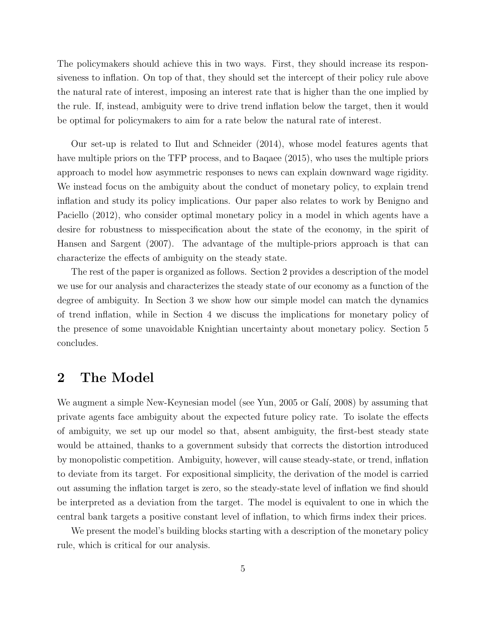The policymakers should achieve this in two ways. First, they should increase its responsiveness to inflation. On top of that, they should set the intercept of their policy rule above the natural rate of interest, imposing an interest rate that is higher than the one implied by the rule. If, instead, ambiguity were to drive trend inflation below the target, then it would be optimal for policymakers to aim for a rate below the natural rate of interest.

Our set-up is related to Ilut and Schneider (2014), whose model features agents that have multiple priors on the TFP process, and to Baqaee (2015), who uses the multiple priors approach to model how asymmetric responses to news can explain downward wage rigidity. We instead focus on the ambiguity about the conduct of monetary policy, to explain trend inflation and study its policy implications. Our paper also relates to work by Benigno and Paciello (2012), who consider optimal monetary policy in a model in which agents have a desire for robustness to misspecification about the state of the economy, in the spirit of Hansen and Sargent (2007). The advantage of the multiple-priors approach is that can characterize the effects of ambiguity on the steady state.

The rest of the paper is organized as follows. Section 2 provides a description of the model we use for our analysis and characterizes the steady state of our economy as a function of the degree of ambiguity. In Section 3 we show how our simple model can match the dynamics of trend inflation, while in Section 4 we discuss the implications for monetary policy of the presence of some unavoidable Knightian uncertainty about monetary policy. Section 5 concludes.

### 2 The Model

We augment a simple New-Keynesian model (see Yun, 2005 or Gali, 2008) by assuming that private agents face ambiguity about the expected future policy rate. To isolate the effects of ambiguity, we set up our model so that, absent ambiguity, the first-best steady state would be attained, thanks to a government subsidy that corrects the distortion introduced by monopolistic competition. Ambiguity, however, will cause steady-state, or trend, inflation to deviate from its target. For expositional simplicity, the derivation of the model is carried out assuming the inflation target is zero, so the steady-state level of inflation we find should be interpreted as a deviation from the target. The model is equivalent to one in which the central bank targets a positive constant level of inflation, to which firms index their prices.

We present the model's building blocks starting with a description of the monetary policy rule, which is critical for our analysis.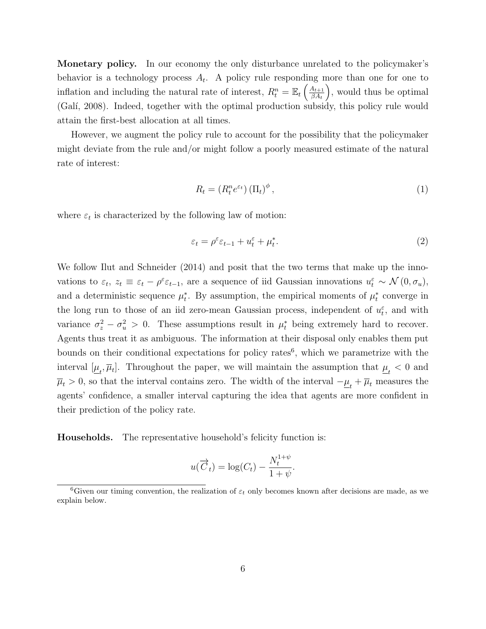Monetary policy. In our economy the only disturbance unrelated to the policymaker's behavior is a technology process  $A_t$ . A policy rule responding more than one for one to inflation and including the natural rate of interest,  $R_t^n = \mathbb{E}_t \left( \frac{A_{t+1}}{\beta A_t} \right)$  $\beta A_t$  , would thus be optimal (Galí, 2008). Indeed, together with the optimal production subsidy, this policy rule would attain the first-best allocation at all times.

However, we augment the policy rule to account for the possibility that the policymaker might deviate from the rule and/or might follow a poorly measured estimate of the natural rate of interest:

$$
R_t = (R_t^n e^{\varepsilon t}) (\Pi_t)^{\phi}, \qquad (1)
$$

where  $\varepsilon_t$  is characterized by the following law of motion:

$$
\varepsilon_t = \rho^{\varepsilon} \varepsilon_{t-1} + u_t^{\varepsilon} + \mu_t^*.
$$

We follow Ilut and Schneider (2014) and posit that the two terms that make up the innovations to  $\varepsilon_t$ ,  $z_t \equiv \varepsilon_t - \rho^{\varepsilon} \varepsilon_{t-1}$ , are a sequence of iid Gaussian innovations  $u_t^{\varepsilon} \sim \mathcal{N}(0, \sigma_u)$ , and a deterministic sequence  $\mu_t^*$ . By assumption, the empirical moments of  $\mu_t^*$  converge in the long run to those of an iid zero-mean Gaussian process, independent of  $u_t^{\varepsilon}$ , and with variance  $\sigma_z^2 - \sigma_u^2 > 0$ . These assumptions result in  $\mu_t^*$  being extremely hard to recover. Agents thus treat it as ambiguous. The information at their disposal only enables them put bounds on their conditional expectations for policy rates<sup>6</sup>, which we parametrize with the interval  $[\underline{\mu}_t, \overline{\mu}_t]$ . Throughout the paper, we will maintain the assumption that  $\underline{\mu}_t < 0$  and  $\overline{\mu}_t > 0$ , so that the interval contains zero. The width of the interval  $-\underline{\mu}_t + \overline{\mu}_t$  measures the agents' confidence, a smaller interval capturing the idea that agents are more confident in their prediction of the policy rate.

Households. The representative household's felicity function is:

$$
u(\overrightarrow{C}_t) = \log(C_t) - \frac{N_t^{1+\psi}}{1+\psi}.
$$

<sup>&</sup>lt;sup>6</sup>Given our timing convention, the realization of  $\varepsilon_t$  only becomes known after decisions are made, as we explain below.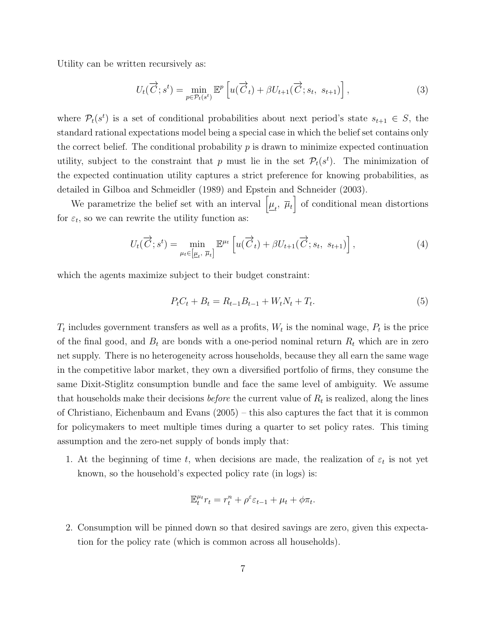Utility can be written recursively as:

$$
U_t(\overrightarrow{C};s^t) = \min_{p \in \mathcal{P}_t(s^t)} \mathbb{E}^p \left[ u(\overrightarrow{C}_t) + \beta U_{t+1}(\overrightarrow{C}; s_t, s_{t+1}) \right],\tag{3}
$$

where  $\mathcal{P}_t(s^t)$  is a set of conditional probabilities about next period's state  $s_{t+1} \in S$ , the standard rational expectations model being a special case in which the belief set contains only the correct belief. The conditional probability  $p$  is drawn to minimize expected continuation utility, subject to the constraint that p must lie in the set  $\mathcal{P}_t(s^t)$ . The minimization of the expected continuation utility captures a strict preference for knowing probabilities, as detailed in Gilboa and Schmeidler (1989) and Epstein and Schneider (2003).

We parametrize the belief set with an interval  $\left[\underline{\mu}_t, \ \overline{\mu}_t\right]$  of conditional mean distortions for  $\varepsilon_t$ , so we can rewrite the utility function as:

$$
U_t(\overrightarrow{C};s^t) = \min_{\mu_t \in [\underline{\mu}_t, \overline{\mu}_t]} \mathbb{E}^{\mu_t} \left[ u(\overrightarrow{C}_t) + \beta U_{t+1}(\overrightarrow{C}; s_t, s_{t+1}) \right], \tag{4}
$$

which the agents maximize subject to their budget constraint:

$$
P_t C_t + B_t = R_{t-1} B_{t-1} + W_t N_t + T_t.
$$
\n<sup>(5)</sup>

 $T_t$  includes government transfers as well as a profits,  $W_t$  is the nominal wage,  $P_t$  is the price of the final good, and  $B_t$  are bonds with a one-period nominal return  $R_t$  which are in zero net supply. There is no heterogeneity across households, because they all earn the same wage in the competitive labor market, they own a diversified portfolio of firms, they consume the same Dixit-Stiglitz consumption bundle and face the same level of ambiguity. We assume that households make their decisions *before* the current value of  $R_t$  is realized, along the lines of Christiano, Eichenbaum and Evans (2005) – this also captures the fact that it is common for policymakers to meet multiple times during a quarter to set policy rates. This timing assumption and the zero-net supply of bonds imply that:

1. At the beginning of time t, when decisions are made, the realization of  $\varepsilon_t$  is not yet known, so the household's expected policy rate (in logs) is:

$$
\mathbb{E}_t^{\mu_t} r_t = r_t^n + \rho^\varepsilon \varepsilon_{t-1} + \mu_t + \phi \pi_t.
$$

2. Consumption will be pinned down so that desired savings are zero, given this expectation for the policy rate (which is common across all households).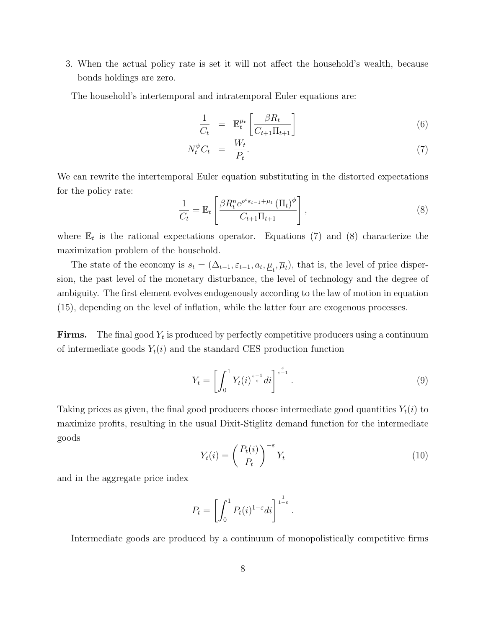3. When the actual policy rate is set it will not affect the household's wealth, because bonds holdings are zero.

The household's intertemporal and intratemporal Euler equations are:

$$
\frac{1}{C_t} = \mathbb{E}_t^{\mu_t} \left[ \frac{\beta R_t}{C_{t+1} \Pi_{t+1}} \right] \tag{6}
$$

$$
N_t^{\psi} C_t = \frac{W_t}{P_t}.
$$
\n<sup>(7)</sup>

We can rewrite the intertemporal Euler equation substituting in the distorted expectations for the policy rate:

$$
\frac{1}{C_t} = \mathbb{E}_t \left[ \frac{\beta R_t^n e^{\rho^\varepsilon \varepsilon_{t-1} + \mu_t} (\Pi_t)^{\phi}}{C_{t+1} \Pi_{t+1}} \right],
$$
\n(8)

where  $\mathbb{E}_t$  is the rational expectations operator. Equations (7) and (8) characterize the maximization problem of the household.

The state of the economy is  $s_t = (\Delta_{t-1}, \varepsilon_{t-1}, a_t, \underline{\mu}_t, \overline{\mu}_t)$ , that is, the level of price dispersion, the past level of the monetary disturbance, the level of technology and the degree of ambiguity. The first element evolves endogenously according to the law of motion in equation (15), depending on the level of inflation, while the latter four are exogenous processes.

**Firms.** The final good  $Y_t$  is produced by perfectly competitive producers using a continuum of intermediate goods  $Y_t(i)$  and the standard CES production function

$$
Y_t = \left[ \int_0^1 Y_t(i)^{\frac{\varepsilon - 1}{\varepsilon}} di \right]^{\frac{\varepsilon}{\varepsilon - 1}}.
$$
\n
$$
(9)
$$

Taking prices as given, the final good producers choose intermediate good quantities  $Y_t(i)$  to maximize profits, resulting in the usual Dixit-Stiglitz demand function for the intermediate goods

$$
Y_t(i) = \left(\frac{P_t(i)}{P_t}\right)^{-\varepsilon} Y_t \tag{10}
$$

.

and in the aggregate price index

$$
P_t = \left[ \int_0^1 P_t(i)^{1-\varepsilon} di \right]^{\frac{1}{1-\varepsilon}}
$$

Intermediate goods are produced by a continuum of monopolistically competitive firms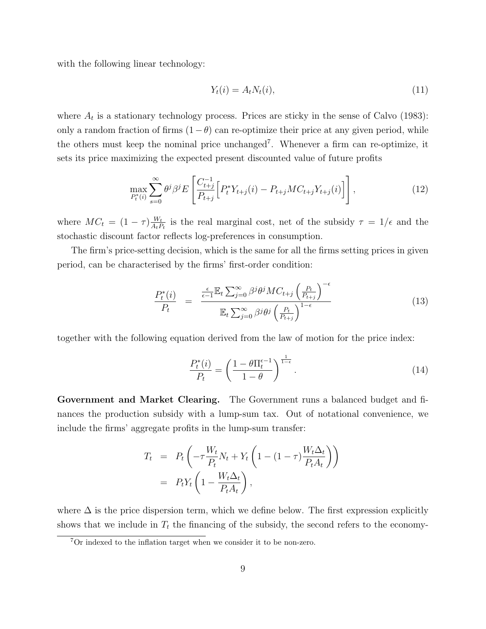with the following linear technology:

$$
Y_t(i) = A_t N_t(i),\tag{11}
$$

where  $A_t$  is a stationary technology process. Prices are sticky in the sense of Calvo (1983): only a random fraction of firms  $(1 - \theta)$  can re-optimize their price at any given period, while the others must keep the nominal price unchanged<sup>7</sup> . Whenever a firm can re-optimize, it sets its price maximizing the expected present discounted value of future profits

$$
\max_{P_t^*(i)} \sum_{s=0}^{\infty} \theta^j \beta^j E\left[\frac{C_{t+j}^{-1}}{P_{t+j}} \left[P_t^* Y_{t+j}(i) - P_{t+j} M C_{t+j} Y_{t+j}(i)\right]\right],\tag{12}
$$

where  $MC_t = (1 - \tau) \frac{W_t}{A_t F}$  $\frac{W_t}{A_t P_t}$  is the real marginal cost, net of the subsidy  $\tau = 1/\epsilon$  and the stochastic discount factor reflects log-preferences in consumption.

The firm's price-setting decision, which is the same for all the firms setting prices in given period, can be characterised by the firms' first-order condition:

$$
\frac{P_t^*(i)}{P_t} = \frac{\frac{\epsilon}{\epsilon - 1} \mathbb{E}_t \sum_{j=0}^{\infty} \beta^j \theta^j MC_{t+j} \left(\frac{P_t}{P_{t+j}}\right)^{-\epsilon}}{\mathbb{E}_t \sum_{j=0}^{\infty} \beta^j \theta^j \left(\frac{P_t}{P_{t+j}}\right)^{1-\epsilon}}
$$
(13)

together with the following equation derived from the law of motion for the price index:

$$
\frac{P_t^*(i)}{P_t} = \left(\frac{1 - \theta \Pi_t^{\epsilon - 1}}{1 - \theta}\right)^{\frac{1}{1 - \epsilon}}.\tag{14}
$$

Government and Market Clearing. The Government runs a balanced budget and finances the production subsidy with a lump-sum tax. Out of notational convenience, we include the firms' aggregate profits in the lump-sum transfer:

$$
T_t = P_t \left( -\tau \frac{W_t}{P_t} N_t + Y_t \left( 1 - (1 - \tau) \frac{W_t \Delta_t}{P_t A_t} \right) \right)
$$
  
=  $P_t Y_t \left( 1 - \frac{W_t \Delta_t}{P_t A_t} \right),$ 

where  $\Delta$  is the price dispersion term, which we define below. The first expression explicitly shows that we include in  $T_t$  the financing of the subsidy, the second refers to the economy-

<sup>7</sup>Or indexed to the inflation target when we consider it to be non-zero.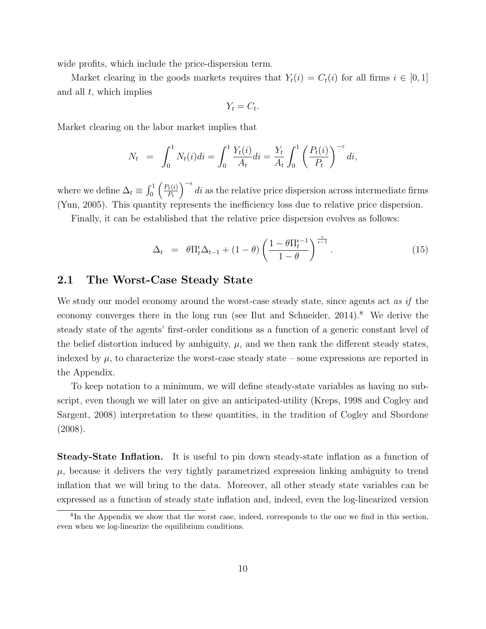wide profits, which include the price-dispersion term.

Market clearing in the goods markets requires that  $Y_t(i) = C_t(i)$  for all firms  $i \in [0,1]$ and all  $t$ , which implies

$$
Y_t = C_t.
$$

Market clearing on the labor market implies that

$$
N_t = \int_0^1 N_t(i)di = \int_0^1 \frac{Y_t(i)}{A_t}di = \frac{Y_t}{A_t} \int_0^1 \left(\frac{P_t(i)}{P_t}\right)^{-\varepsilon} di,
$$

where we define  $\Delta_t \equiv \int_0^1 \left( \frac{P_t(i)}{P_t} \right)$  $P_t$  $\int_{0}^{\infty} d\tau$  as the relative price dispersion across intermediate firms (Yun, 2005). This quantity represents the inefficiency loss due to relative price dispersion.

Finally, it can be established that the relative price dispersion evolves as follows:

$$
\Delta_t = \theta \Pi_t^{\epsilon} \Delta_{t-1} + (1 - \theta) \left( \frac{1 - \theta \Pi_t^{\epsilon - 1}}{1 - \theta} \right)^{\frac{\epsilon}{\epsilon - 1}}.
$$
\n(15)

#### 2.1 The Worst-Case Steady State

We study our model economy around the worst-case steady state, since agents act as if the economy converges there in the long run (see Ilut and Schneider,  $2014$ ).<sup>8</sup> We derive the steady state of the agents' first-order conditions as a function of a generic constant level of the belief distortion induced by ambiguity,  $\mu$ , and we then rank the different steady states, indexed by  $\mu$ , to characterize the worst-case steady state – some expressions are reported in the Appendix.

To keep notation to a minimum, we will define steady-state variables as having no subscript, even though we will later on give an anticipated-utility (Kreps, 1998 and Cogley and Sargent, 2008) interpretation to these quantities, in the tradition of Cogley and Sbordone (2008).

Steady-State Inflation. It is useful to pin down steady-state inflation as a function of  $\mu$ , because it delivers the very tightly parametrized expression linking ambiguity to trend inflation that we will bring to the data. Moreover, all other steady state variables can be expressed as a function of steady state inflation and, indeed, even the log-linearized version

<sup>8</sup> In the Appendix we show that the worst case, indeed, corresponds to the one we find in this section, even when we log-linearize the equilibrium conditions.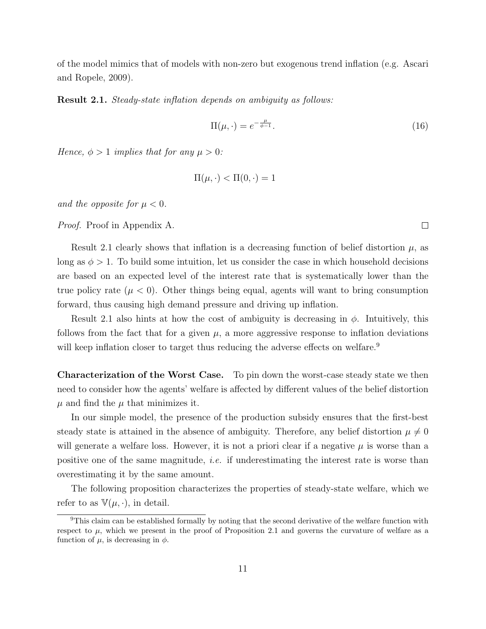of the model mimics that of models with non-zero but exogenous trend inflation (e.g. Ascari and Ropele, 2009).

Result 2.1. Steady-state inflation depends on ambiguity as follows:

$$
\Pi(\mu, \cdot) = e^{-\frac{\mu}{\phi - 1}}.\tag{16}
$$

Hence,  $\phi > 1$  implies that for any  $\mu > 0$ :

$$
\Pi(\mu, \cdot) < \Pi(0, \cdot) = 1
$$

and the opposite for  $\mu < 0$ .

Proof. Proof in Appendix A.

Result 2.1 clearly shows that inflation is a decreasing function of belief distortion  $\mu$ , as long as  $\phi > 1$ . To build some intuition, let us consider the case in which household decisions are based on an expected level of the interest rate that is systematically lower than the true policy rate ( $\mu < 0$ ). Other things being equal, agents will want to bring consumption forward, thus causing high demand pressure and driving up inflation.

Result 2.1 also hints at how the cost of ambiguity is decreasing in  $\phi$ . Intuitively, this follows from the fact that for a given  $\mu$ , a more aggressive response to inflation deviations will keep inflation closer to target thus reducing the adverse effects on welfare.<sup>9</sup>

Characterization of the Worst Case. To pin down the worst-case steady state we then need to consider how the agents' welfare is affected by different values of the belief distortion  $\mu$  and find the  $\mu$  that minimizes it.

In our simple model, the presence of the production subsidy ensures that the first-best steady state is attained in the absence of ambiguity. Therefore, any belief distortion  $\mu \neq 0$ will generate a welfare loss. However, it is not a priori clear if a negative  $\mu$  is worse than a positive one of the same magnitude, i.e. if underestimating the interest rate is worse than overestimating it by the same amount.

The following proposition characterizes the properties of steady-state welfare, which we refer to as  $\mathbb{V}(\mu, \cdot)$ , in detail.

 $\Box$ 

<sup>9</sup>This claim can be established formally by noting that the second derivative of the welfare function with respect to  $\mu$ , which we present in the proof of Proposition 2.1 and governs the curvature of welfare as a function of  $\mu$ , is decreasing in  $\phi$ .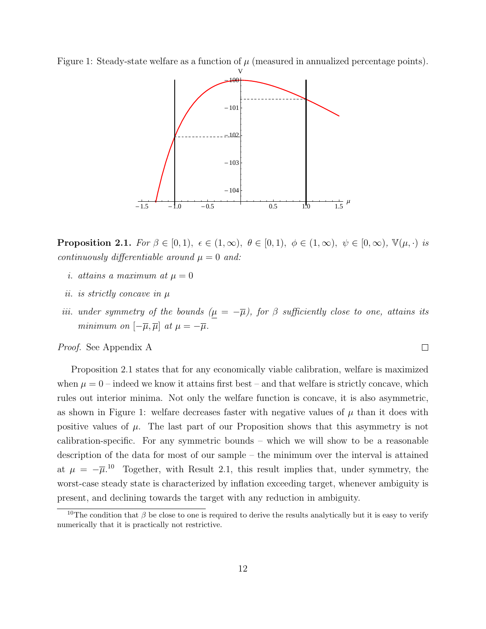Figure 1: Steady-state welfare as a function of  $\mu$  (measured in annualized percentage points).



**Proposition 2.1.** For  $\beta \in [0,1)$ ,  $\epsilon \in (1,\infty)$ ,  $\theta \in [0,1)$ ,  $\phi \in (1,\infty)$ ,  $\psi \in [0,\infty)$ ,  $\mathbb{V}(\mu, \cdot)$  is continuously differentiable around  $\mu = 0$  and:

- i. attains a maximum at  $\mu = 0$
- ii. is strictly concave in µ
- iii. under symmetry of the bounds  $(\underline{\mu} = -\overline{\mu})$ , for  $\beta$  sufficiently close to one, attains its minimum on  $[-\overline{\mu}, \overline{\mu}]$  at  $\mu = -\overline{\mu}$ .

Proof. See Appendix A

Proposition 2.1 states that for any economically viable calibration, welfare is maximized when  $\mu = 0$  – indeed we know it attains first best – and that welfare is strictly concave, which rules out interior minima. Not only the welfare function is concave, it is also asymmetric, as shown in Figure 1: welfare decreases faster with negative values of  $\mu$  than it does with positive values of  $\mu$ . The last part of our Proposition shows that this asymmetry is not calibration-specific. For any symmetric bounds – which we will show to be a reasonable description of the data for most of our sample – the minimum over the interval is attained at  $\mu = -\overline{\mu}^{10}$  Together, with Result 2.1, this result implies that, under symmetry, the worst-case steady state is characterized by inflation exceeding target, whenever ambiguity is present, and declining towards the target with any reduction in ambiguity.

 $\Box$ 

<sup>&</sup>lt;sup>10</sup>The condition that  $\beta$  be close to one is required to derive the results analytically but it is easy to verify numerically that it is practically not restrictive.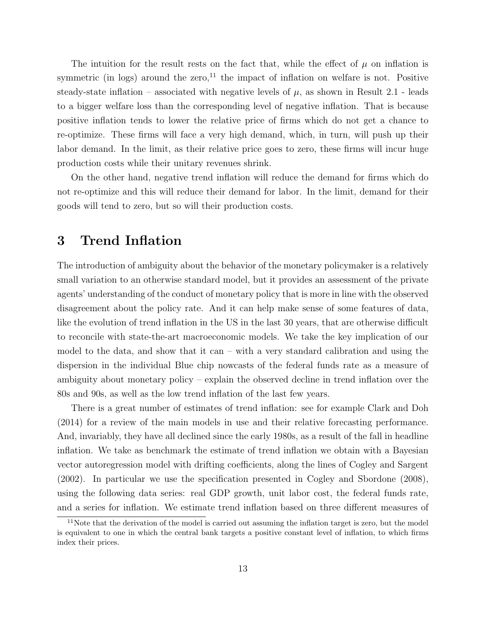The intuition for the result rests on the fact that, while the effect of  $\mu$  on inflation is symmetric (in logs) around the zero,<sup>11</sup> the impact of inflation on welfare is not. Positive steady-state inflation – associated with negative levels of  $\mu$ , as shown in Result 2.1 - leads to a bigger welfare loss than the corresponding level of negative inflation. That is because positive inflation tends to lower the relative price of firms which do not get a chance to re-optimize. These firms will face a very high demand, which, in turn, will push up their labor demand. In the limit, as their relative price goes to zero, these firms will incur huge production costs while their unitary revenues shrink.

On the other hand, negative trend inflation will reduce the demand for firms which do not re-optimize and this will reduce their demand for labor. In the limit, demand for their goods will tend to zero, but so will their production costs.

### 3 Trend Inflation

The introduction of ambiguity about the behavior of the monetary policymaker is a relatively small variation to an otherwise standard model, but it provides an assessment of the private agents' understanding of the conduct of monetary policy that is more in line with the observed disagreement about the policy rate. And it can help make sense of some features of data, like the evolution of trend inflation in the US in the last 30 years, that are otherwise difficult to reconcile with state-the-art macroeconomic models. We take the key implication of our model to the data, and show that it can – with a very standard calibration and using the dispersion in the individual Blue chip nowcasts of the federal funds rate as a measure of ambiguity about monetary policy – explain the observed decline in trend inflation over the 80s and 90s, as well as the low trend inflation of the last few years.

There is a great number of estimates of trend inflation: see for example Clark and Doh (2014) for a review of the main models in use and their relative forecasting performance. And, invariably, they have all declined since the early 1980s, as a result of the fall in headline inflation. We take as benchmark the estimate of trend inflation we obtain with a Bayesian vector autoregression model with drifting coefficients, along the lines of Cogley and Sargent (2002). In particular we use the specification presented in Cogley and Sbordone (2008), using the following data series: real GDP growth, unit labor cost, the federal funds rate, and a series for inflation. We estimate trend inflation based on three different measures of

 $11$ Note that the derivation of the model is carried out assuming the inflation target is zero, but the model is equivalent to one in which the central bank targets a positive constant level of inflation, to which firms index their prices.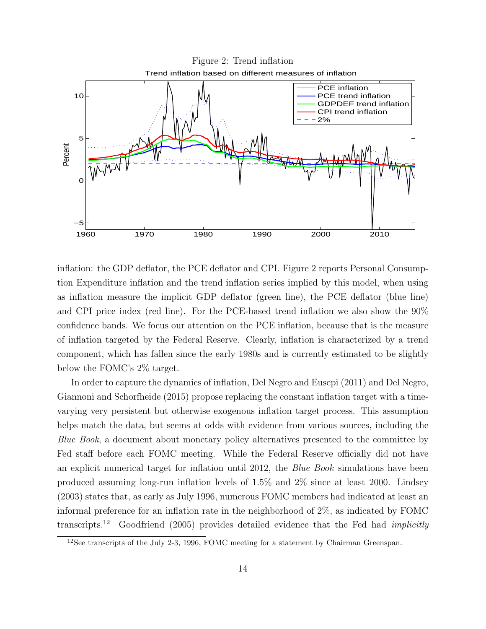

inflation: the GDP deflator, the PCE deflator and CPI. Figure 2 reports Personal Consumption Expenditure inflation and the trend inflation series implied by this model, when using as inflation measure the implicit GDP deflator (green line), the PCE deflator (blue line) and CPI price index (red line). For the PCE-based trend inflation we also show the 90% confidence bands. We focus our attention on the PCE inflation, because that is the measure of inflation targeted by the Federal Reserve. Clearly, inflation is characterized by a trend component, which has fallen since the early 1980s and is currently estimated to be slightly below the FOMC's 2% target.

In order to capture the dynamics of inflation, Del Negro and Eusepi (2011) and Del Negro, Giannoni and Schorfheide (2015) propose replacing the constant inflation target with a timevarying very persistent but otherwise exogenous inflation target process. This assumption helps match the data, but seems at odds with evidence from various sources, including the Blue Book, a document about monetary policy alternatives presented to the committee by Fed staff before each FOMC meeting. While the Federal Reserve officially did not have an explicit numerical target for inflation until 2012, the Blue Book simulations have been produced assuming long-run inflation levels of 1.5% and 2% since at least 2000. Lindsey (2003) states that, as early as July 1996, numerous FOMC members had indicated at least an informal preference for an inflation rate in the neighborhood of 2%, as indicated by FOMC transcripts.<sup>12</sup> Goodfriend (2005) provides detailed evidence that the Fed had *implicitly* 

<sup>12</sup>See transcripts of the July 2-3, 1996, FOMC meeting for a statement by Chairman Greenspan.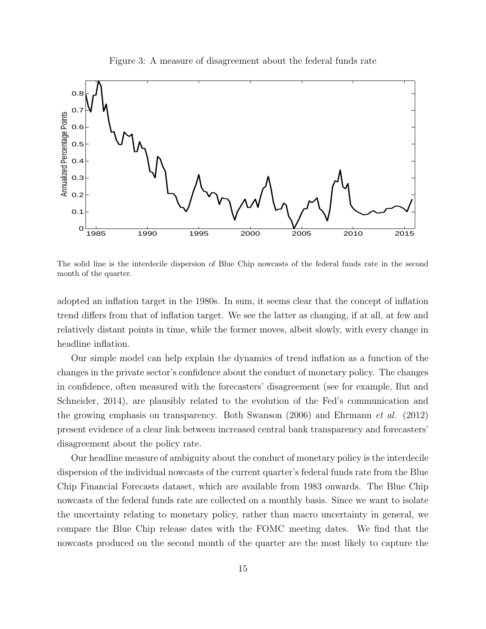Figure 3: A measure of disagreement about the federal funds rate



The solid line is the interdecile dispersion of Blue Chip nowcasts of the federal funds rate in the second month of the quarter.

adopted an inflation target in the 1980s. In sum, it seems clear that the concept of inflation trend differs from that of inflation target. We see the latter as changing, if at all, at few and relatively distant points in time, while the former moves, albeit slowly, with every change in headline inflation.

Our simple model can help explain the dynamics of trend inflation as a function of the changes in the private sector's confidence about the conduct of monetary policy. The changes in confidence, often measured with the forecasters' disagreement (see for example, Ilut and Schneider, 2014), are plausibly related to the evolution of the Fed's communication and the growing emphasis on transparency. Both Swanson (2006) and Ehrmann et al. (2012) present evidence of a clear link between increased central bank transparency and forecasters' disagreement about the policy rate.

Our headline measure of ambiguity about the conduct of monetary policy is the interdecile dispersion of the individual nowcasts of the current quarter's federal funds rate from the Blue Chip Financial Forecasts dataset, which are available from 1983 onwards. The Blue Chip nowcasts of the federal funds rate are collected on a monthly basis. Since we want to isolate the uncertainty relating to monetary policy, rather than macro uncertainty in general, we compare the Blue Chip release dates with the FOMC meeting dates. We find that the nowcasts produced on the second month of the quarter are the most likely to capture the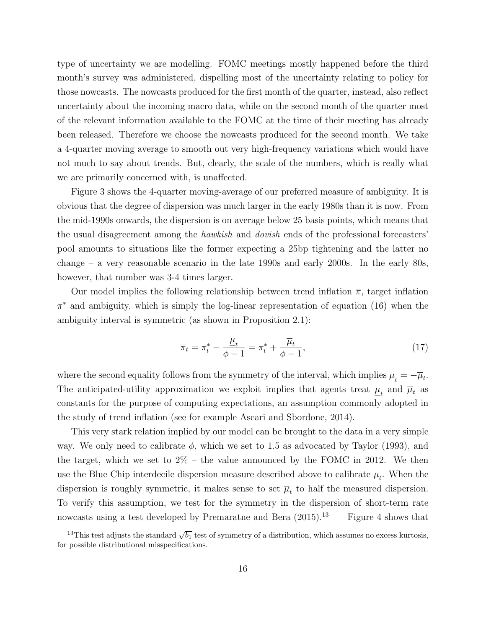type of uncertainty we are modelling. FOMC meetings mostly happened before the third month's survey was administered, dispelling most of the uncertainty relating to policy for those nowcasts. The nowcasts produced for the first month of the quarter, instead, also reflect uncertainty about the incoming macro data, while on the second month of the quarter most of the relevant information available to the FOMC at the time of their meeting has already been released. Therefore we choose the nowcasts produced for the second month. We take a 4-quarter moving average to smooth out very high-frequency variations which would have not much to say about trends. But, clearly, the scale of the numbers, which is really what we are primarily concerned with, is unaffected.

Figure 3 shows the 4-quarter moving-average of our preferred measure of ambiguity. It is obvious that the degree of dispersion was much larger in the early 1980s than it is now. From the mid-1990s onwards, the dispersion is on average below 25 basis points, which means that the usual disagreement among the hawkish and dovish ends of the professional forecasters' pool amounts to situations like the former expecting a 25bp tightening and the latter no change – a very reasonable scenario in the late 1990s and early 2000s. In the early 80s, however, that number was 3-4 times larger.

Our model implies the following relationship between trend inflation  $\bar{\pi}$ , target inflation  $\pi^*$  and ambiguity, which is simply the log-linear representation of equation (16) when the ambiguity interval is symmetric (as shown in Proposition 2.1):

$$
\overline{\pi}_t = \pi_t^* - \frac{\mu_t}{\phi - 1} = \pi_t^* + \frac{\overline{\mu}_t}{\phi - 1},
$$
\n(17)

where the second equality follows from the symmetry of the interval, which implies  $\underline{\mu}_t = -\overline{\mu}_t$ . The anticipated-utility approximation we exploit implies that agents treat  $\underline{\mu}_t$  and  $\overline{\mu}_t$  as constants for the purpose of computing expectations, an assumption commonly adopted in the study of trend inflation (see for example Ascari and Sbordone, 2014).

This very stark relation implied by our model can be brought to the data in a very simple way. We only need to calibrate  $\phi$ , which we set to 1.5 as advocated by Taylor (1993), and the target, which we set to  $2\%$  – the value announced by the FOMC in 2012. We then use the Blue Chip interdecile dispersion measure described above to calibrate  $\overline{\mu}_t$ . When the dispersion is roughly symmetric, it makes sense to set  $\overline{\mu}_t$  to half the measured dispersion. To verify this assumption, we test for the symmetry in the dispersion of short-term rate nowcasts using a test developed by Premaratne and Bera  $(2015).<sup>13</sup>$  Figure 4 shows that

<sup>&</sup>lt;sup>13</sup>This test adjusts the standard  $\sqrt{b_1}$  test of symmetry of a distribution, which assumes no excess kurtosis, for possible distributional misspecifications.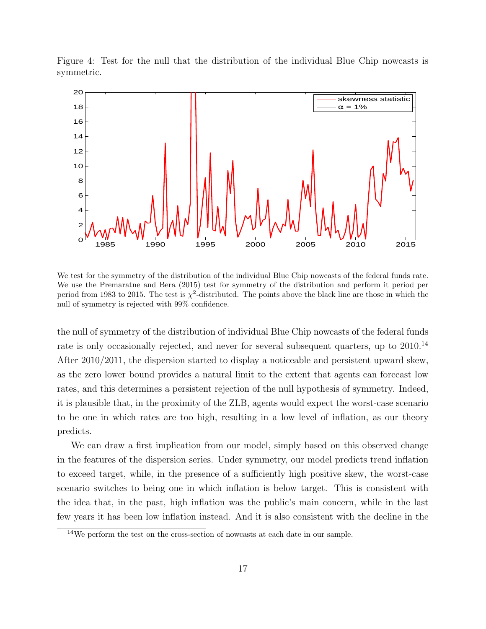Figure 4: Test for the null that the distribution of the individual Blue Chip nowcasts is symmetric.



We test for the symmetry of the distribution of the individual Blue Chip nowcasts of the federal funds rate. We use the Premaratne and Bera (2015) test for symmetry of the distribution and perform it period per period from 1983 to 2015. The test is  $\chi^2$ -distributed. The points above the black line are those in which the null of symmetry is rejected with 99% confidence.

the null of symmetry of the distribution of individual Blue Chip nowcasts of the federal funds rate is only occasionally rejected, and never for several subsequent quarters, up to 2010.<sup>14</sup> After 2010/2011, the dispersion started to display a noticeable and persistent upward skew, as the zero lower bound provides a natural limit to the extent that agents can forecast low rates, and this determines a persistent rejection of the null hypothesis of symmetry. Indeed, it is plausible that, in the proximity of the ZLB, agents would expect the worst-case scenario to be one in which rates are too high, resulting in a low level of inflation, as our theory predicts.

We can draw a first implication from our model, simply based on this observed change in the features of the dispersion series. Under symmetry, our model predicts trend inflation to exceed target, while, in the presence of a sufficiently high positive skew, the worst-case scenario switches to being one in which inflation is below target. This is consistent with the idea that, in the past, high inflation was the public's main concern, while in the last few years it has been low inflation instead. And it is also consistent with the decline in the

 $14$ We perform the test on the cross-section of nowcasts at each date in our sample.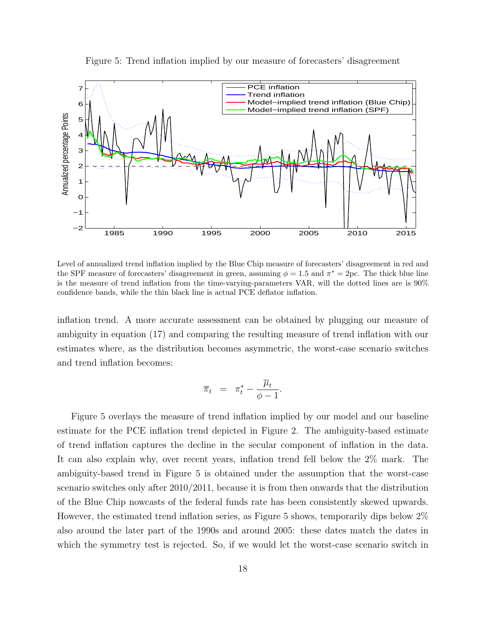Figure 5: Trend inflation implied by our measure of forecasters' disagreement



Level of annualized trend inflation implied by the Blue Chip measure of forecasters' disagreement in red and the SPF measure of forecasters' disagreement in green, assuming  $\phi = 1.5$  and  $\pi^* = 2pc$ . The thick blue line is the measure of trend inflation from the time-varying-parameters VAR, will the dotted lines are is 90% confidence bands, while the thin black line is actual PCE deflator inflation.

inflation trend. A more accurate assessment can be obtained by plugging our measure of ambiguity in equation (17) and comparing the resulting measure of trend inflation with our estimates where, as the distribution becomes asymmetric, the worst-case scenario switches and trend inflation becomes:

$$
\overline{\pi}_t = \pi_t^* - \frac{\overline{\mu}_t}{\phi - 1}.
$$

Figure 5 overlays the measure of trend inflation implied by our model and our baseline estimate for the PCE inflation trend depicted in Figure 2. The ambiguity-based estimate of trend inflation captures the decline in the secular component of inflation in the data. It can also explain why, over recent years, inflation trend fell below the 2% mark. The ambiguity-based trend in Figure 5 is obtained under the assumption that the worst-case scenario switches only after 2010/2011, because it is from then onwards that the distribution of the Blue Chip nowcasts of the federal funds rate has been consistently skewed upwards. However, the estimated trend inflation series, as Figure 5 shows, temporarily dips below 2% also around the later part of the 1990s and around 2005: these dates match the dates in which the symmetry test is rejected. So, if we would let the worst-case scenario switch in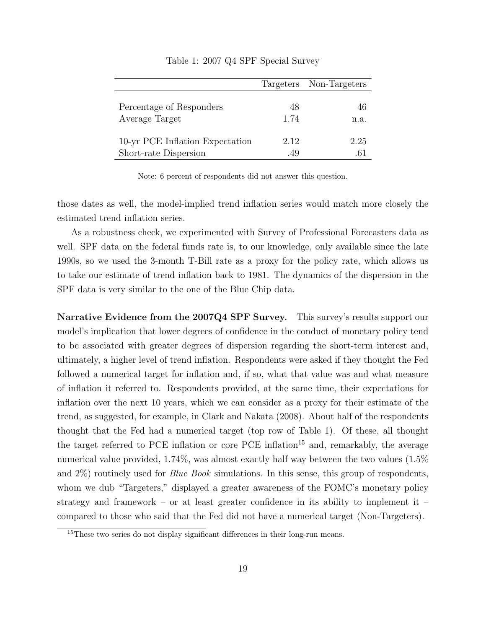|                                                          |             | Targeters Non-Targeters |
|----------------------------------------------------------|-------------|-------------------------|
| Percentage of Responders<br>Average Target               | 48<br>1.74  | 46<br>n.a.              |
| 10-yr PCE Inflation Expectation<br>Short-rate Dispersion | 2.12<br>.49 | 2.25                    |

#### Table 1: 2007 Q4 SPF Special Survey

Note: 6 percent of respondents did not answer this question.

those dates as well, the model-implied trend inflation series would match more closely the estimated trend inflation series.

As a robustness check, we experimented with Survey of Professional Forecasters data as well. SPF data on the federal funds rate is, to our knowledge, only available since the late 1990s, so we used the 3-month T-Bill rate as a proxy for the policy rate, which allows us to take our estimate of trend inflation back to 1981. The dynamics of the dispersion in the SPF data is very similar to the one of the Blue Chip data.

Narrative Evidence from the 2007Q4 SPF Survey. This survey's results support our model's implication that lower degrees of confidence in the conduct of monetary policy tend to be associated with greater degrees of dispersion regarding the short-term interest and, ultimately, a higher level of trend inflation. Respondents were asked if they thought the Fed followed a numerical target for inflation and, if so, what that value was and what measure of inflation it referred to. Respondents provided, at the same time, their expectations for inflation over the next 10 years, which we can consider as a proxy for their estimate of the trend, as suggested, for example, in Clark and Nakata (2008). About half of the respondents thought that the Fed had a numerical target (top row of Table 1). Of these, all thought the target referred to PCE inflation or core PCE inflation<sup>15</sup> and, remarkably, the average numerical value provided, 1.74%, was almost exactly half way between the two values (1.5% and  $2\%$ ) routinely used for *Blue Book* simulations. In this sense, this group of respondents, whom we dub "Targeters," displayed a greater awareness of the FOMC's monetary policy strategy and framework – or at least greater confidence in its ability to implement it – compared to those who said that the Fed did not have a numerical target (Non-Targeters).

<sup>&</sup>lt;sup>15</sup>These two series do not display significant differences in their long-run means.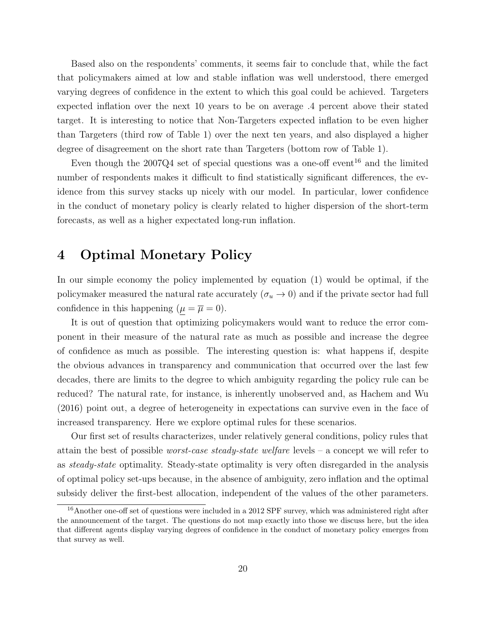Based also on the respondents' comments, it seems fair to conclude that, while the fact that policymakers aimed at low and stable inflation was well understood, there emerged varying degrees of confidence in the extent to which this goal could be achieved. Targeters expected inflation over the next 10 years to be on average .4 percent above their stated target. It is interesting to notice that Non-Targeters expected inflation to be even higher than Targeters (third row of Table 1) over the next ten years, and also displayed a higher degree of disagreement on the short rate than Targeters (bottom row of Table 1).

Even though the  $2007Q4$  set of special questions was a one-off event<sup>16</sup> and the limited number of respondents makes it difficult to find statistically significant differences, the evidence from this survey stacks up nicely with our model. In particular, lower confidence in the conduct of monetary policy is clearly related to higher dispersion of the short-term forecasts, as well as a higher expectated long-run inflation.

### 4 Optimal Monetary Policy

In our simple economy the policy implemented by equation (1) would be optimal, if the policymaker measured the natural rate accurately  $(\sigma_u \to 0)$  and if the private sector had full confidence in this happening  $(\mu = \overline{\mu} = 0)$ .

It is out of question that optimizing policymakers would want to reduce the error component in their measure of the natural rate as much as possible and increase the degree of confidence as much as possible. The interesting question is: what happens if, despite the obvious advances in transparency and communication that occurred over the last few decades, there are limits to the degree to which ambiguity regarding the policy rule can be reduced? The natural rate, for instance, is inherently unobserved and, as Hachem and Wu (2016) point out, a degree of heterogeneity in expectations can survive even in the face of increased transparency. Here we explore optimal rules for these scenarios.

Our first set of results characterizes, under relatively general conditions, policy rules that attain the best of possible worst-case steady-state welfare levels – a concept we will refer to as steady-state optimality. Steady-state optimality is very often disregarded in the analysis of optimal policy set-ups because, in the absence of ambiguity, zero inflation and the optimal subsidy deliver the first-best allocation, independent of the values of the other parameters.

<sup>&</sup>lt;sup>16</sup> Another one-off set of questions were included in a 2012 SPF survey, which was administered right after the announcement of the target. The questions do not map exactly into those we discuss here, but the idea that different agents display varying degrees of confidence in the conduct of monetary policy emerges from that survey as well.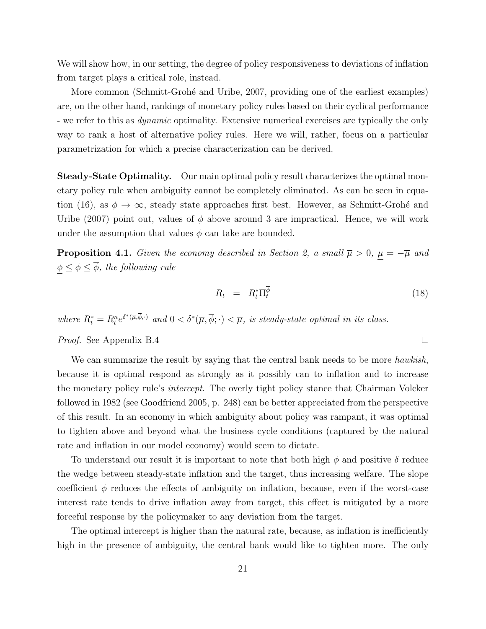We will show how, in our setting, the degree of policy responsiveness to deviations of inflation from target plays a critical role, instead.

More common (Schmitt-Grohé and Uribe, 2007, providing one of the earliest examples) are, on the other hand, rankings of monetary policy rules based on their cyclical performance - we refer to this as *dynamic* optimality. Extensive numerical exercises are typically the only way to rank a host of alternative policy rules. Here we will, rather, focus on a particular parametrization for which a precise characterization can be derived.

Steady-State Optimality. Our main optimal policy result characterizes the optimal monetary policy rule when ambiguity cannot be completely eliminated. As can be seen in equation (16), as  $\phi \to \infty$ , steady state approaches first best. However, as Schmitt-Grohé and Uribe (2007) point out, values of  $\phi$  above around 3 are impractical. Hence, we will work under the assumption that values  $\phi$  can take are bounded.

**Proposition 4.1.** Given the economy described in Section 2, a small  $\overline{\mu} > 0$ ,  $\mu = -\overline{\mu}$  and  $\phi \leq \phi \leq \overline{\phi}$ , the following rule

$$
R_t = R_t^* \Pi_t^{\phi} \tag{18}
$$

 $\Box$ 

where  $R_t^* = R_t^n e^{\delta^*(\overline{\mu}, \overline{\phi}, \cdot)}$  and  $0 < \delta^*(\overline{\mu}, \overline{\phi}, \cdot) < \overline{\mu}$ , is steady-state optimal in its class.

Proof. See Appendix B.4

We can summarize the result by saying that the central bank needs to be more *hawkish*, because it is optimal respond as strongly as it possibly can to inflation and to increase the monetary policy rule's intercept. The overly tight policy stance that Chairman Volcker followed in 1982 (see Goodfriend 2005, p. 248) can be better appreciated from the perspective of this result. In an economy in which ambiguity about policy was rampant, it was optimal to tighten above and beyond what the business cycle conditions (captured by the natural rate and inflation in our model economy) would seem to dictate.

To understand our result it is important to note that both high  $\phi$  and positive  $\delta$  reduce the wedge between steady-state inflation and the target, thus increasing welfare. The slope coefficient  $\phi$  reduces the effects of ambiguity on inflation, because, even if the worst-case interest rate tends to drive inflation away from target, this effect is mitigated by a more forceful response by the policymaker to any deviation from the target.

The optimal intercept is higher than the natural rate, because, as inflation is inefficiently high in the presence of ambiguity, the central bank would like to tighten more. The only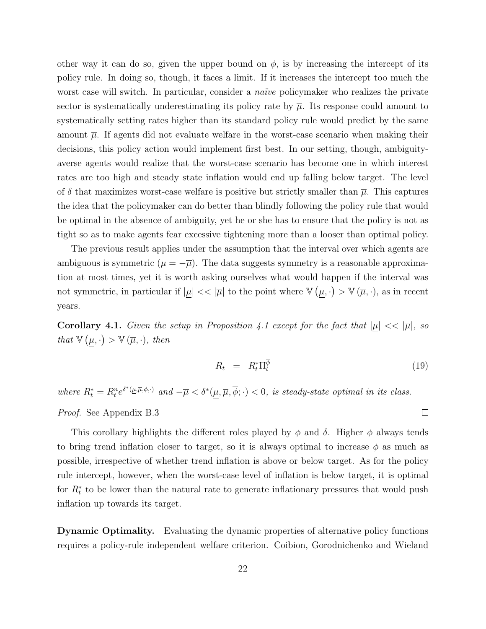other way it can do so, given the upper bound on  $\phi$ , is by increasing the intercept of its policy rule. In doing so, though, it faces a limit. If it increases the intercept too much the worst case will switch. In particular, consider a *naïve* policymaker who realizes the private sector is systematically underestimating its policy rate by  $\bar{\mu}$ . Its response could amount to systematically setting rates higher than its standard policy rule would predict by the same amount  $\overline{\mu}$ . If agents did not evaluate welfare in the worst-case scenario when making their decisions, this policy action would implement first best. In our setting, though, ambiguityaverse agents would realize that the worst-case scenario has become one in which interest rates are too high and steady state inflation would end up falling below target. The level of  $\delta$  that maximizes worst-case welfare is positive but strictly smaller than  $\bar{\mu}$ . This captures the idea that the policymaker can do better than blindly following the policy rule that would be optimal in the absence of ambiguity, yet he or she has to ensure that the policy is not as tight so as to make agents fear excessive tightening more than a looser than optimal policy.

The previous result applies under the assumption that the interval over which agents are ambiguous is symmetric  $(\mu = -\overline{\mu})$ . The data suggests symmetry is a reasonable approximation at most times, yet it is worth asking ourselves what would happen if the interval was not symmetric, in particular if  $|\mu| << |\overline{\mu}|$  to the point where  $\mathbb{V}(\mu, \cdot) > \mathbb{V}(\overline{\mu}, \cdot)$ , as in recent years.

**Corollary 4.1.** Given the setup in Proposition 4.1 except for the fact that  $|\mu| \ll |\overline{\mu}|$ , so that  $\mathbb{V}(\mu, \cdot) > \mathbb{V}(\overline{\mu}, \cdot),$  then

$$
R_t = R_t^* \Pi_t^{\phi} \tag{19}
$$

where  $R_t^* = R_t^n e^{\delta^*(\underline{\mu}, \overline{\mu}, \overline{\phi}, \cdot)}$  and  $-\overline{\mu} < \delta^*(\underline{\mu}, \overline{\mu}, \overline{\phi}, \cdot) < 0$ , is steady-state optimal in its class.

Proof. See Appendix B.3

This corollary highlights the different roles played by  $\phi$  and  $\delta$ . Higher  $\phi$  always tends to bring trend inflation closer to target, so it is always optimal to increase  $\phi$  as much as possible, irrespective of whether trend inflation is above or below target. As for the policy rule intercept, however, when the worst-case level of inflation is below target, it is optimal for  $R_t^*$  to be lower than the natural rate to generate inflationary pressures that would push inflation up towards its target.

Dynamic Optimality. Evaluating the dynamic properties of alternative policy functions requires a policy-rule independent welfare criterion. Coibion, Gorodnichenko and Wieland

 $\Box$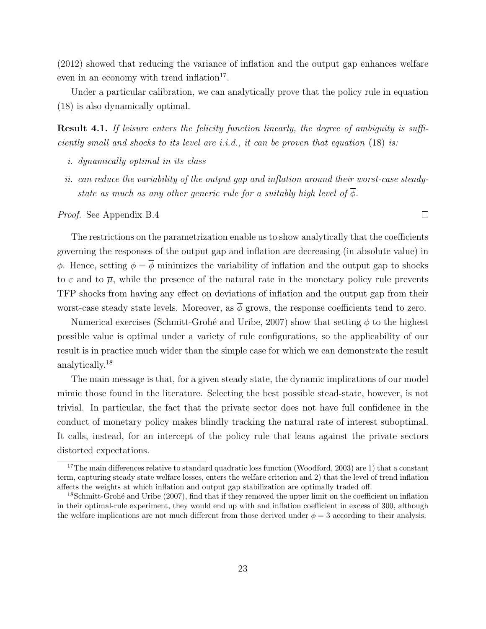(2012) showed that reducing the variance of inflation and the output gap enhances welfare even in an economy with trend inflation<sup>17</sup>.

Under a particular calibration, we can analytically prove that the policy rule in equation (18) is also dynamically optimal.

Result 4.1. If leisure enters the felicity function linearly, the degree of ambiguity is sufficiently small and shocks to its level are i.i.d., it can be proven that equation  $(18)$  is:

- i. dynamically optimal in its class
- ii. can reduce the variability of the output gap and inflation around their worst-case steadystate as much as any other generic rule for a suitably high level of  $\phi$ .

Proof. See Appendix B.4

The restrictions on the parametrization enable us to show analytically that the coefficients governing the responses of the output gap and inflation are decreasing (in absolute value) in φ. Hence, setting  $φ = φ$  minimizes the variability of inflation and the output gap to shocks to  $\varepsilon$  and to  $\overline{\mu}$ , while the presence of the natural rate in the monetary policy rule prevents TFP shocks from having any effect on deviations of inflation and the output gap from their worst-case steady state levels. Moreover, as  $\overline{\phi}$  grows, the response coefficients tend to zero.

Numerical exercises (Schmitt-Grohé and Uribe, 2007) show that setting  $\phi$  to the highest possible value is optimal under a variety of rule configurations, so the applicability of our result is in practice much wider than the simple case for which we can demonstrate the result analytically.<sup>18</sup>

The main message is that, for a given steady state, the dynamic implications of our model mimic those found in the literature. Selecting the best possible stead-state, however, is not trivial. In particular, the fact that the private sector does not have full confidence in the conduct of monetary policy makes blindly tracking the natural rate of interest suboptimal. It calls, instead, for an intercept of the policy rule that leans against the private sectors distorted expectations.

 $\Box$ 

 $17$ The main differences relative to standard quadratic loss function (Woodford, 2003) are 1) that a constant term, capturing steady state welfare losses, enters the welfare criterion and 2) that the level of trend inflation affects the weights at which inflation and output gap stabilization are optimally traded off.

<sup>&</sup>lt;sup>18</sup>Schmitt-Grohé and Uribe (2007), find that if they removed the upper limit on the coefficient on inflation in their optimal-rule experiment, they would end up with and inflation coefficient in excess of 300, although the welfare implications are not much different from those derived under  $\phi = 3$  according to their analysis.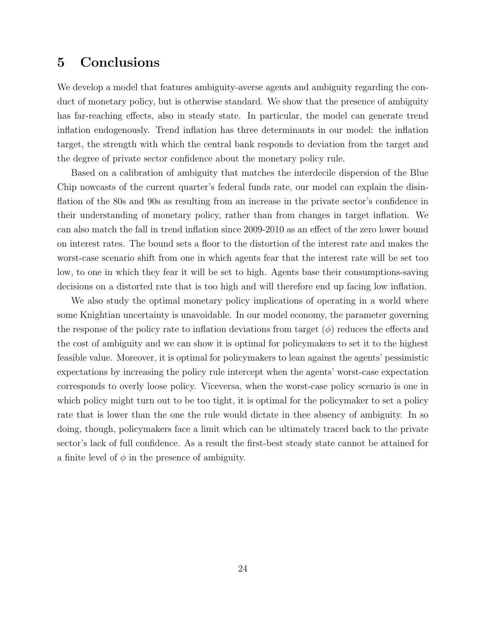## 5 Conclusions

We develop a model that features ambiguity-averse agents and ambiguity regarding the conduct of monetary policy, but is otherwise standard. We show that the presence of ambiguity has far-reaching effects, also in steady state. In particular, the model can generate trend inflation endogenously. Trend inflation has three determinants in our model: the inflation target, the strength with which the central bank responds to deviation from the target and the degree of private sector confidence about the monetary policy rule.

Based on a calibration of ambiguity that matches the interdecile dispersion of the Blue Chip nowcasts of the current quarter's federal funds rate, our model can explain the disinflation of the 80s and 90s as resulting from an increase in the private sector's confidence in their understanding of monetary policy, rather than from changes in target inflation. We can also match the fall in trend inflation since 2009-2010 as an effect of the zero lower bound on interest rates. The bound sets a floor to the distortion of the interest rate and makes the worst-case scenario shift from one in which agents fear that the interest rate will be set too low, to one in which they fear it will be set to high. Agents base their consumptions-saving decisions on a distorted rate that is too high and will therefore end up facing low inflation.

We also study the optimal monetary policy implications of operating in a world where some Knightian uncertainty is unavoidable. In our model economy, the parameter governing the response of the policy rate to inflation deviations from target  $(\phi)$  reduces the effects and the cost of ambiguity and we can show it is optimal for policymakers to set it to the highest feasible value. Moreover, it is optimal for policymakers to lean against the agents' pessimistic expectations by increasing the policy rule intercept when the agents' worst-case expectation corresponds to overly loose policy. Viceversa, when the worst-case policy scenario is one in which policy might turn out to be too tight, it is optimal for the policymaker to set a policy rate that is lower than the one the rule would dictate in thee absency of ambiguity. In so doing, though, policymakers face a limit which can be ultimately traced back to the private sector's lack of full confidence. As a result the first-best steady state cannot be attained for a finite level of  $\phi$  in the presence of ambiguity.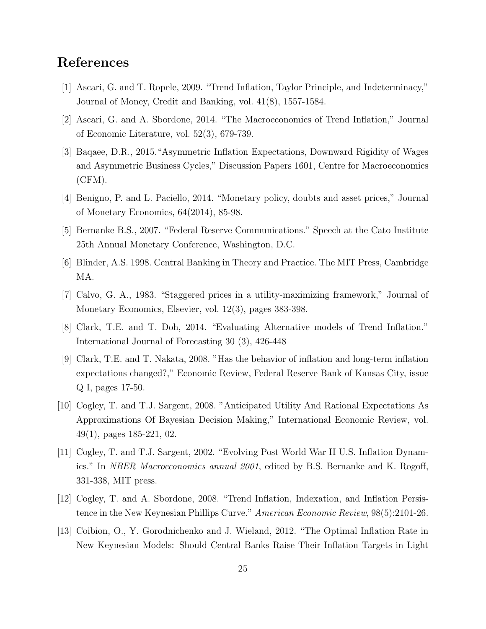## References

- [1] Ascari, G. and T. Ropele, 2009. "Trend Inflation, Taylor Principle, and Indeterminacy," Journal of Money, Credit and Banking, vol. 41(8), 1557-1584.
- [2] Ascari, G. and A. Sbordone, 2014. "The Macroeconomics of Trend Inflation," Journal of Economic Literature, vol. 52(3), 679-739.
- [3] Baqaee, D.R., 2015."Asymmetric Inflation Expectations, Downward Rigidity of Wages and Asymmetric Business Cycles," Discussion Papers 1601, Centre for Macroeconomics (CFM).
- [4] Benigno, P. and L. Paciello, 2014. "Monetary policy, doubts and asset prices," Journal of Monetary Economics, 64(2014), 85-98.
- [5] Bernanke B.S., 2007. "Federal Reserve Communications." Speech at the Cato Institute 25th Annual Monetary Conference, Washington, D.C.
- [6] Blinder, A.S. 1998. Central Banking in Theory and Practice. The MIT Press, Cambridge MA.
- [7] Calvo, G. A., 1983. "Staggered prices in a utility-maximizing framework," Journal of Monetary Economics, Elsevier, vol. 12(3), pages 383-398.
- [8] Clark, T.E. and T. Doh, 2014. "Evaluating Alternative models of Trend Inflation." International Journal of Forecasting 30 (3), 426-448
- [9] Clark, T.E. and T. Nakata, 2008. "Has the behavior of inflation and long-term inflation expectations changed?," Economic Review, Federal Reserve Bank of Kansas City, issue Q I, pages 17-50.
- [10] Cogley, T. and T.J. Sargent, 2008. "Anticipated Utility And Rational Expectations As Approximations Of Bayesian Decision Making," International Economic Review, vol. 49(1), pages 185-221, 02.
- [11] Cogley, T. and T.J. Sargent, 2002. "Evolving Post World War II U.S. Inflation Dynamics." In NBER Macroeconomics annual 2001, edited by B.S. Bernanke and K. Rogoff, 331-338, MIT press.
- [12] Cogley, T. and A. Sbordone, 2008. "Trend Inflation, Indexation, and Inflation Persistence in the New Keynesian Phillips Curve." American Economic Review, 98(5):2101-26.
- [13] Coibion, O., Y. Gorodnichenko and J. Wieland, 2012. "The Optimal Inflation Rate in New Keynesian Models: Should Central Banks Raise Their Inflation Targets in Light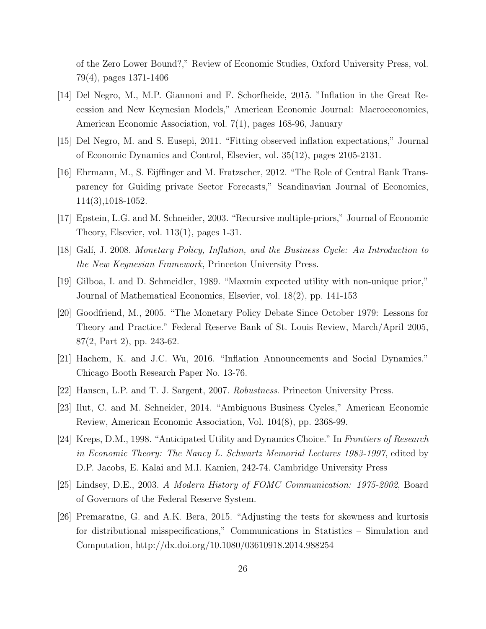of the Zero Lower Bound?," Review of Economic Studies, Oxford University Press, vol. 79(4), pages 1371-1406

- [14] Del Negro, M., M.P. Giannoni and F. Schorfheide, 2015. "Inflation in the Great Recession and New Keynesian Models," American Economic Journal: Macroeconomics, American Economic Association, vol. 7(1), pages 168-96, January
- [15] Del Negro, M. and S. Eusepi, 2011. "Fitting observed inflation expectations," Journal of Economic Dynamics and Control, Elsevier, vol. 35(12), pages 2105-2131.
- [16] Ehrmann, M., S. Eijffinger and M. Fratzscher, 2012. "The Role of Central Bank Transparency for Guiding private Sector Forecasts," Scandinavian Journal of Economics, 114(3),1018-1052.
- [17] Epstein, L.G. and M. Schneider, 2003. "Recursive multiple-priors," Journal of Economic Theory, Elsevier, vol. 113(1), pages 1-31.
- [18] Galí, J. 2008. Monetary Policy, Inflation, and the Business Cycle: An Introduction to the New Keynesian Framework, Princeton University Press.
- [19] Gilboa, I. and D. Schmeidler, 1989. "Maxmin expected utility with non-unique prior," Journal of Mathematical Economics, Elsevier, vol. 18(2), pp. 141-153
- [20] Goodfriend, M., 2005. "The Monetary Policy Debate Since October 1979: Lessons for Theory and Practice." Federal Reserve Bank of St. Louis Review, March/April 2005, 87(2, Part 2), pp. 243-62.
- [21] Hachem, K. and J.C. Wu, 2016. "Inflation Announcements and Social Dynamics." Chicago Booth Research Paper No. 13-76.
- [22] Hansen, L.P. and T. J. Sargent, 2007. Robustness. Princeton University Press.
- [23] Ilut, C. and M. Schneider, 2014. "Ambiguous Business Cycles," American Economic Review, American Economic Association, Vol. 104(8), pp. 2368-99.
- [24] Kreps, D.M., 1998. "Anticipated Utility and Dynamics Choice." In Frontiers of Research in Economic Theory: The Nancy L. Schwartz Memorial Lectures 1983-1997, edited by D.P. Jacobs, E. Kalai and M.I. Kamien, 242-74. Cambridge University Press
- [25] Lindsey, D.E., 2003. A Modern History of FOMC Communication: 1975-2002, Board of Governors of the Federal Reserve System.
- [26] Premaratne, G. and A.K. Bera, 2015. "Adjusting the tests for skewness and kurtosis for distributional misspecifications," Communications in Statistics – Simulation and Computation, http://dx.doi.org/10.1080/03610918.2014.988254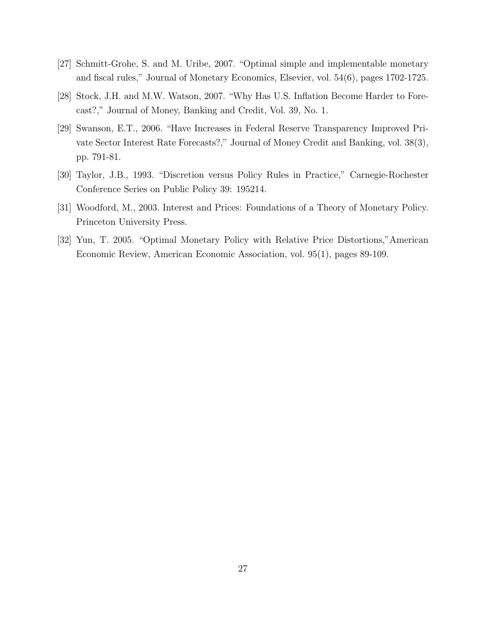- [27] Schmitt-Grohe, S. and M. Uribe, 2007. "Optimal simple and implementable monetary and fiscal rules," Journal of Monetary Economics, Elsevier, vol. 54(6), pages 1702-1725.
- [28] Stock, J.H. and M.W. Watson, 2007. "Why Has U.S. Inflation Become Harder to Forecast?," Journal of Money, Banking and Credit, Vol. 39, No. 1.
- [29] Swanson, E.T., 2006. "Have Increases in Federal Reserve Transparency Improved Private Sector Interest Rate Forecasts?," Journal of Money Credit and Banking, vol. 38(3), pp. 791-81.
- [30] Taylor, J.B., 1993. "Discretion versus Policy Rules in Practice," Carnegie-Rochester Conference Series on Public Policy 39: 195214.
- [31] Woodford, M., 2003. Interest and Prices: Foundations of a Theory of Monetary Policy. Princeton University Press.
- [32] Yun, T. 2005. "Optimal Monetary Policy with Relative Price Distortions,"American Economic Review, American Economic Association, vol. 95(1), pages 89-109.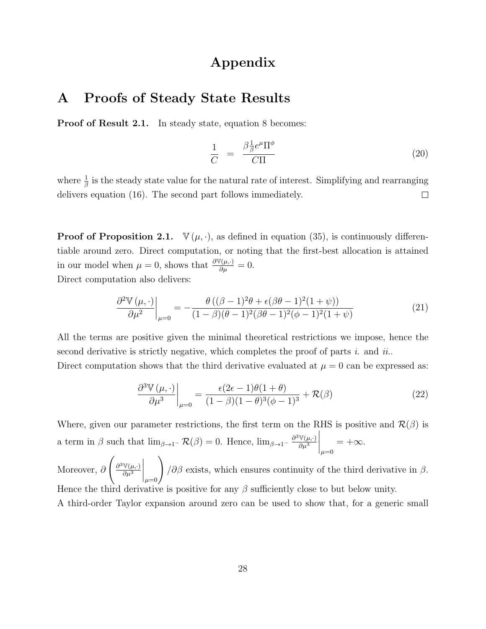### Appendix

### A Proofs of Steady State Results

**Proof of Result 2.1.** In steady state, equation 8 becomes:

$$
\frac{1}{C} = \frac{\beta \frac{1}{\beta} e^{\mu} \Pi^{\phi}}{C\Pi} \tag{20}
$$

where  $\frac{1}{\beta}$  is the steady state value for the natural rate of interest. Simplifying and rearranging delivers equation (16). The second part follows immediately.  $\Box$ 

**Proof of Proposition 2.1.**  $\mathbb{V}(\mu, \cdot)$ , as defined in equation (35), is continuously differentiable around zero. Direct computation, or noting that the first-best allocation is attained in our model when  $\mu = 0$ , shows that  $\frac{\partial \mathbb{V}(\mu, \cdot)}{\partial \mu} = 0$ . Direct computation also delivers:

$$
\frac{\partial^2 \mathbb{V}(\mu, \cdot)}{\partial \mu^2} \bigg|_{\mu=0} = -\frac{\theta \left( (\beta - 1)^2 \theta + \epsilon (\beta \theta - 1)^2 (1 + \psi) \right)}{(1 - \beta)(\theta - 1)^2 (\beta \theta - 1)^2 (\phi - 1)^2 (1 + \psi)} \tag{21}
$$

All the terms are positive given the minimal theoretical restrictions we impose, hence the second derivative is strictly negative, which completes the proof of parts i. and ii.. Direct computation shows that the third derivative evaluated at  $\mu = 0$  can be expressed as:

$$
\left. \frac{\partial^3 \mathbb{V}\left(\mu, \cdot\right)}{\partial \mu^3} \right|_{\mu=0} = \frac{\epsilon(2\epsilon - 1)\theta(1+\theta)}{(1-\beta)(1-\theta)^3(\phi-1)^3} + \mathcal{R}(\beta) \tag{22}
$$

Where, given our parameter restrictions, the first term on the RHS is positive and  $\mathcal{R}(\beta)$  is a term in  $\beta$  such that  $\lim_{\beta \to 1^-} \mathcal{R}(\beta) = 0$ . Hence,  $\lim_{\beta \to 1^-} \frac{\partial^3 \mathbb{V}(\mu, \cdot)}{\partial \mu^3}$  $\overline{\partial\mu^3}$  $\bigg|_{\mu=0}$  $= +\infty$ .

Moreover, ∂  $\int \partial^3 \mathbb{V}(\mu,\cdot)$  $\overline{\partial\mu^3}$  $\bigg|_{\mu=0}\bigg)$  $\partial\beta$  exists, which ensures continuity of the third derivative in  $\beta$ . Hence the third derivative is positive for any  $\beta$  sufficiently close to but below unity.

A third-order Taylor expansion around zero can be used to show that, for a generic small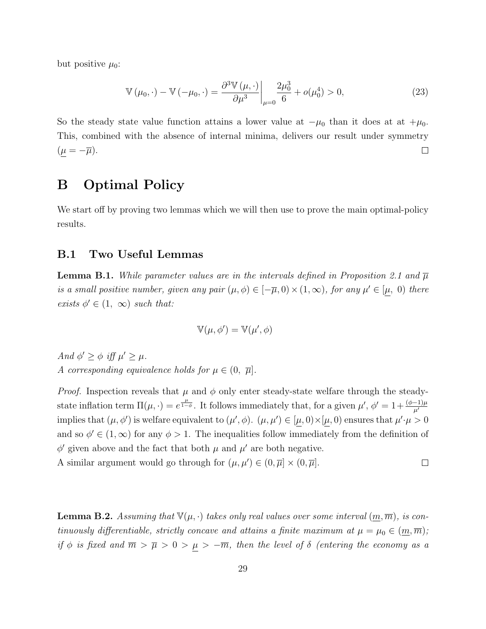but positive  $\mu_0$ :

$$
\mathbb{V}(\mu_0, \cdot) - \mathbb{V}(-\mu_0, \cdot) = \frac{\partial^3 \mathbb{V}(\mu, \cdot)}{\partial \mu^3} \bigg|_{\mu=0} \frac{2\mu_0^3}{6} + o(\mu_0^4) > 0,
$$
\n(23)

So the steady state value function attains a lower value at  $-\mu_0$  than it does at at  $+\mu_0$ . This, combined with the absence of internal minima, delivers our result under symmetry  $(\underline{\mu}=-\overline{\mu}).$  $\Box$ 

## B Optimal Policy

We start off by proving two lemmas which we will then use to prove the main optimal-policy results.

#### B.1 Two Useful Lemmas

**Lemma B.1.** While parameter values are in the intervals defined in Proposition 2.1 and  $\overline{\mu}$ is a small positive number, given any pair  $(\mu, \phi) \in [-\overline{\mu}, 0) \times (1, \infty)$ , for any  $\mu' \in [\mu, 0)$  there exists  $\phi' \in (1, \infty)$  such that:

$$
\mathbb{V}(\mu, \phi') = \mathbb{V}(\mu', \phi)
$$

And  $\phi' \geq \phi$  iff  $\mu' \geq \mu$ . A corresponding equivalence holds for  $\mu \in (0, \bar{\mu}]$ .

*Proof.* Inspection reveals that  $\mu$  and  $\phi$  only enter steady-state welfare through the steadystate inflation term  $\Pi(\mu, \cdot) = e^{\frac{\mu}{1-\phi}}$ . It follows immediately that, for a given  $\mu', \phi' = 1 + \frac{(\phi-1)\mu}{\mu'}$ implies that  $(\mu, \phi')$  is welfare equivalent to  $(\mu', \phi)$ .  $(\mu, \mu') \in [\mu, 0) \times [\mu, 0)$  ensures that  $\mu' \cdot \mu > 0$ and so  $\phi' \in (1,\infty)$  for any  $\phi > 1$ . The inequalities follow immediately from the definition of  $\phi'$  given above and the fact that both  $\mu$  and  $\mu'$  are both negative.

A similar argument would go through for  $(\mu, \mu') \in (0, \overline{\mu}] \times (0, \overline{\mu}]$ .  $\Box$ 

**Lemma B.2.** Assuming that  $\mathbb{V}(\mu, \cdot)$  takes only real values over some interval  $(\underline{m}, \overline{m})$ , is continuously differentiable, strictly concave and attains a finite maximum at  $\mu = \mu_0 \in (\underline{m}, \overline{m});$ if  $\phi$  is fixed and  $\overline{m} > \overline{\mu} > 0 > \underline{\mu} > -\overline{m}$ , then the level of  $\delta$  (entering the economy as a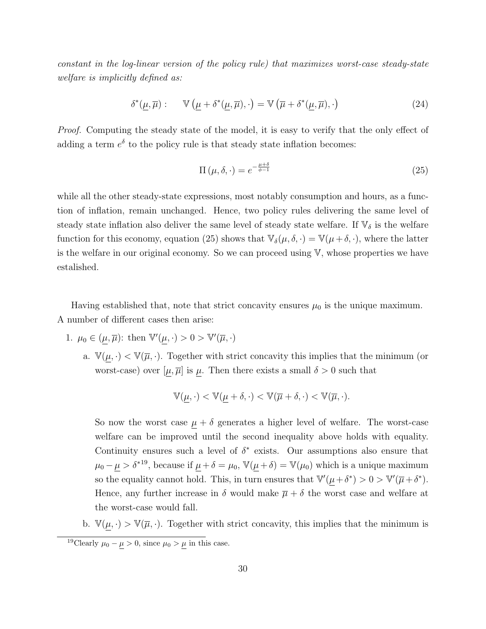constant in the log-linear version of the policy rule) that maximizes worst-case steady-state welfare is implicitly defined as:

$$
\delta^*(\underline{\mu}, \overline{\mu}) : \quad \mathbb{V}\left(\underline{\mu} + \delta^*(\underline{\mu}, \overline{\mu}), \cdot\right) = \mathbb{V}\left(\overline{\mu} + \delta^*(\underline{\mu}, \overline{\mu}), \cdot\right) \tag{24}
$$

Proof. Computing the steady state of the model, it is easy to verify that the only effect of adding a term  $e^{\delta}$  to the policy rule is that steady state inflation becomes:

$$
\Pi\left(\mu,\delta,\cdot\right) = e^{-\frac{\mu+\delta}{\phi-1}}\tag{25}
$$

while all the other steady-state expressions, most notably consumption and hours, as a function of inflation, remain unchanged. Hence, two policy rules delivering the same level of steady state inflation also deliver the same level of steady state welfare. If  $\mathbb{V}_{\delta}$  is the welfare function for this economy, equation (25) shows that  $\mathbb{V}_{\delta}(\mu, \delta, \cdot) = \mathbb{V}(\mu + \delta, \cdot)$ , where the latter is the welfare in our original economy. So we can proceed using  $V$ , whose properties we have estalished.

Having established that, note that strict concavity ensures  $\mu_0$  is the unique maximum. A number of different cases then arise:

- 1.  $\mu_0 \in (\mu, \overline{\mu})$ : then  $\mathbb{V}'(\mu, \cdot) > 0 > \mathbb{V}'(\overline{\mu}, \cdot)$ 
	- a.  $\mathbb{V}(\mu, \cdot) < \mathbb{V}(\overline{\mu}, \cdot)$ . Together with strict concavity this implies that the minimum (or worst-case) over  $[\mu, \overline{\mu}]$  is  $\mu$ . Then there exists a small  $\delta > 0$  such that

$$
\mathbb{V}(\mu,\cdot)<\mathbb{V}(\mu+\delta,\cdot)<\mathbb{V}(\overline{\mu}+\delta,\cdot)<\mathbb{V}(\overline{\mu},\cdot).
$$

So now the worst case  $\mu + \delta$  generates a higher level of welfare. The worst-case welfare can be improved until the second inequality above holds with equality. Continuity ensures such a level of  $\delta^*$  exists. Our assumptions also ensure that  $\mu_0 - \underline{\mu} > \delta^{*19}$ , because if  $\underline{\mu} + \delta = \mu_0$ ,  $\mathbb{V}(\underline{\mu} + \delta) = \mathbb{V}(\mu_0)$  which is a unique maximum so the equality cannot hold. This, in turn ensures that  $\mathbb{V}'(\mu + \delta^*) > 0 > \mathbb{V}'(\overline{\mu} + \delta^*)$ . Hence, any further increase in  $\delta$  would make  $\overline{\mu} + \delta$  the worst case and welfare at the worst-case would fall.

b.  $\mathbb{V}(\mu, \cdot) > \mathbb{V}(\overline{\mu}, \cdot)$ . Together with strict concavity, this implies that the minimum is

<sup>&</sup>lt;sup>19</sup>Clearly  $\mu_0 - \mu > 0$ , since  $\mu_0 > \mu$  in this case.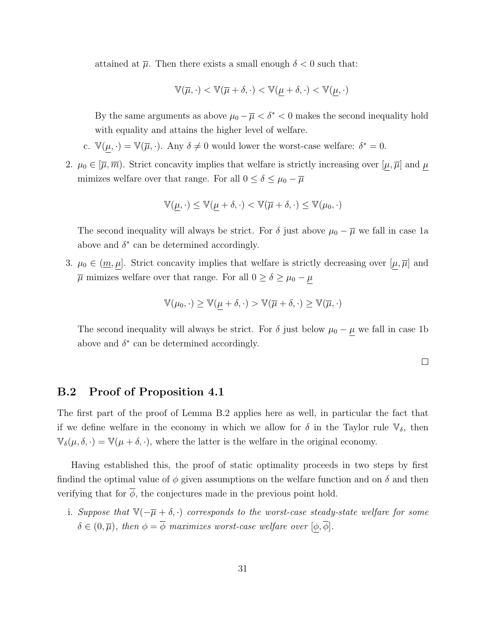attained at  $\overline{\mu}$ . Then there exists a small enough  $\delta < 0$  such that:

$$
\mathbb{V}(\overline{\mu},\cdot) < \mathbb{V}(\overline{\mu}+\delta,\cdot) < \mathbb{V}(\underline{\mu}+\delta,\cdot) < \mathbb{V}(\underline{\mu},\cdot)
$$

By the same arguments as above  $\mu_0 - \overline{\mu} < \delta^* < 0$  makes the second inequality hold with equality and attains the higher level of welfare.

- c.  $\mathbb{V}(\mu, \cdot) = \mathbb{V}(\overline{\mu}, \cdot)$ . Any  $\delta \neq 0$  would lower the worst-case welfare:  $\delta^* = 0$ .
- 2.  $\mu_0 \in [\overline{\mu}, \overline{m})$ . Strict concavity implies that welfare is strictly increasing over  $[\mu, \overline{\mu}]$  and  $\mu$ mimizes welfare over that range. For all  $0\leq \delta \leq \mu_0 - \overline{\mu}$

$$
\mathbb{V}(\underline{\mu},\cdot) \leq \mathbb{V}(\underline{\mu}+\delta,\cdot) < \mathbb{V}(\overline{\mu}+\delta,\cdot) \leq \mathbb{V}(\mu_0,\cdot)
$$

The second inequality will always be strict. For  $\delta$  just above  $\mu_0 - \overline{\mu}$  we fall in case 1a above and  $\delta^*$  can be determined accordingly.

3.  $\mu_0 \in (\underline{m}, \mu]$ . Strict concavity implies that welfare is strictly decreasing over  $[\mu, \overline{\mu}]$  and  $\overline{\mu}$  mimizes welfare over that range. For all  $0 \ge \delta \ge \mu_0 - \mu$ 

$$
\mathbb{V}(\mu_0, \cdot) \ge \mathbb{V}(\mu + \delta, \cdot) > \mathbb{V}(\overline{\mu} + \delta, \cdot) \ge \mathbb{V}(\overline{\mu}, \cdot)
$$

The second inequality will always be strict. For  $\delta$  just below  $\mu_0 - \mu$  we fall in case 1b above and  $\delta^*$  can be determined accordingly.

 $\Box$ 

#### B.2 Proof of Proposition 4.1

The first part of the proof of Lemma B.2 applies here as well, in particular the fact that if we define welfare in the economy in which we allow for  $\delta$  in the Taylor rule  $\mathbb{V}_{\delta}$ , then  $\mathbb{V}_{\delta}(\mu, \delta, \cdot) = \mathbb{V}(\mu + \delta, \cdot)$ , where the latter is the welfare in the original economy.

Having established this, the proof of static optimality proceeds in two steps by first findind the optimal value of  $\phi$  given assumptions on the welfare function and on  $\delta$  and then verifying that for  $\phi$ , the conjectures made in the previous point hold.

i. Suppose that  $\mathbb{V}(-\overline{\mu}+\delta,\cdot)$  corresponds to the worst-case steady-state welfare for some  $\delta \in (0, \overline{\mu})$ , then  $\phi = \overline{\phi}$  maximizes worst-case welfare over  $[\phi, \overline{\phi}]$ .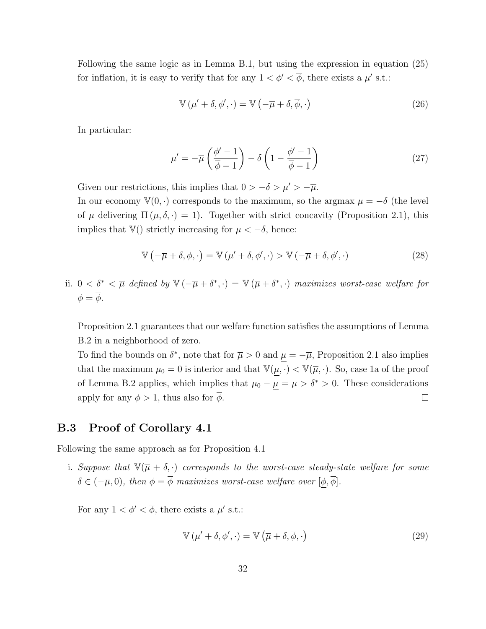Following the same logic as in Lemma B.1, but using the expression in equation (25) for inflation, it is easy to verify that for any  $1 < \phi' < \phi$ , there exists a  $\mu'$  s.t.:

$$
\mathbb{V}\left(\mu^{\prime}+\delta,\phi^{\prime},\cdot\right)=\mathbb{V}\left(-\overline{\mu}+\delta,\overline{\phi},\cdot\right)
$$
 (26)

In particular:

$$
\mu' = -\overline{\mu} \left( \frac{\phi' - 1}{\overline{\phi} - 1} \right) - \delta \left( 1 - \frac{\phi' - 1}{\overline{\phi} - 1} \right) \tag{27}
$$

Given our restrictions, this implies that  $0 > -\delta > \mu' > -\overline{\mu}$ .

In our economy  $\mathbb{V}(0, \cdot)$  corresponds to the maximum, so the argmax  $\mu = -\delta$  (the level of  $\mu$  delivering  $\Pi(\mu, \delta, \cdot) = 1$ . Together with strict concavity (Proposition 2.1), this implies that  $\mathbb{V}()$  strictly increasing for  $\mu < -\delta$ , hence:

$$
\mathbb{V}\left(-\overline{\mu}+\delta,\overline{\phi},\cdot\right) = \mathbb{V}\left(\mu'+\delta,\phi',\cdot\right) > \mathbb{V}\left(-\overline{\mu}+\delta,\phi',\cdot\right)
$$
 (28)

ii.  $0 < \delta^* < \overline{\mu}$  defined by  $\mathbb{V}(-\overline{\mu}+\delta^*, \cdot) = \mathbb{V}(\overline{\mu}+\delta^*, \cdot)$  maximizes worst-case welfare for  $\phi = \overline{\phi}.$ 

Proposition 2.1 guarantees that our welfare function satisfies the assumptions of Lemma B.2 in a neighborhood of zero.

To find the bounds on  $\delta^*$ , note that for  $\bar{\mu} > 0$  and  $\mu = -\bar{\mu}$ , Proposition 2.1 also implies that the maximum  $\mu_0 = 0$  is interior and that  $\mathbb{V}(\mu, \cdot) < \mathbb{V}(\overline{\mu}, \cdot)$ . So, case 1a of the proof of Lemma B.2 applies, which implies that  $\mu_0 - \mu = \overline{\mu} > \delta^* > 0$ . These considerations apply for any  $\phi > 1$ , thus also for  $\phi$ .  $\Box$ 

#### B.3 Proof of Corollary 4.1

Following the same approach as for Proposition 4.1

i. Suppose that  $\mathbb{V}(\overline{\mu}+\delta,\cdot)$  corresponds to the worst-case steady-state welfare for some  $\delta \in (-\overline{\mu}, 0)$ , then  $\phi = \overline{\phi}$  maximizes worst-case welfare over  $[\phi, \overline{\phi}]$ .

For any  $1 < \phi' < \overline{\phi}$ , there exists a  $\mu'$  s.t.:

$$
\mathbb{V}\left(\mu^{\prime}+\delta,\phi^{\prime},\cdot\right)=\mathbb{V}\left(\overline{\mu}+\delta,\overline{\phi},\cdot\right)
$$
\n(29)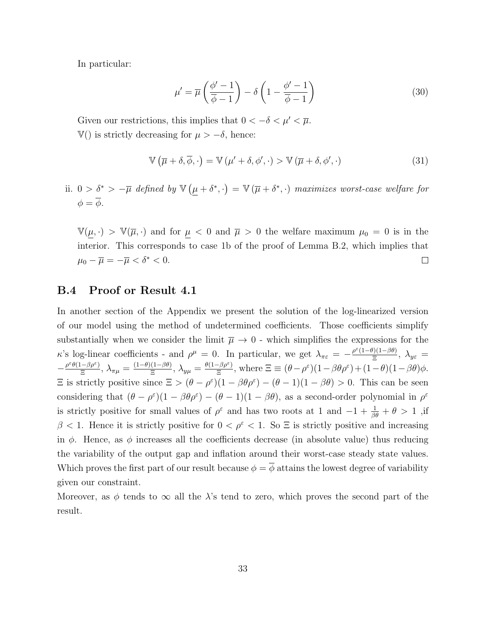In particular:

$$
\mu' = \overline{\mu} \left( \frac{\phi' - 1}{\overline{\phi} - 1} \right) - \delta \left( 1 - \frac{\phi' - 1}{\overline{\phi} - 1} \right) \tag{30}
$$

Given our restrictions, this implies that  $0 < -\delta < \mu' < \overline{\mu}$ .  $\mathbb{V}$ () is strictly decreasing for  $\mu > -\delta$ , hence:

$$
\mathbb{V}\left(\overline{\mu}+\delta,\overline{\phi},\cdot\right)=\mathbb{V}\left(\mu'+\delta,\phi',\cdot\right)>\mathbb{V}\left(\overline{\mu}+\delta,\phi',\cdot\right)
$$
\n(31)

ii.  $0 > \delta^* > -\overline{\mu}$  defined by  $\mathbb{V}(\mu + \delta^*, \cdot) = \mathbb{V}(\overline{\mu} + \delta^*, \cdot)$  maximizes worst-case welfare for  $\phi = \overline{\phi}.$ 

 $\mathbb{V}(\mu, \cdot) > \mathbb{V}(\overline{\mu}, \cdot)$  and for  $\mu < 0$  and  $\overline{\mu} > 0$  the welfare maximum  $\mu_0 = 0$  is in the interior. This corresponds to case 1b of the proof of Lemma B.2, which implies that  $\mu_0 - \overline{\mu} = -\overline{\mu} < \delta^* < 0.$  $\Box$ 

#### B.4 Proof or Result 4.1

In another section of the Appendix we present the solution of the log-linearized version of our model using the method of undetermined coefficients. Those coefficients simplify substantially when we consider the limit  $\overline{\mu} \to 0$  - which simplifies the expressions for the  $κ$ 's log-linear coefficients - and  $ρ<sup>μ</sup> = 0$ . In particular, we get  $λ<sub>πε</sub> = -\frac{ρ<sup>ε</sup>(1-θ)(1-βθ)}{ξ}$  $\frac{\partial (1-\beta\theta)}{\partial \overline{z}}$ ,  $\lambda_{y\varepsilon} =$  $-\frac{\rho^{\varepsilon}\theta(1-\beta\rho^{\varepsilon})}{\Xi}$  $\frac{(-\beta \rho^\varepsilon)}{\Xi}, \, \lambda_{\pi \mu} = \frac{(1-\theta)(1-\beta \theta)}{\Xi}$  $\frac{(1-\beta\theta)}{\Xi}, \lambda_{y\mu} = \frac{\theta(1-\beta\rho^{\varepsilon})}{\Xi}$  $\frac{-\beta \rho^{\varepsilon}}{\Xi}$ , where  $\Xi \equiv (\theta - \rho^{\varepsilon})(1 - \beta \theta \rho^{\varepsilon}) + (1 - \theta)(1 - \beta \theta) \phi$ .  $\Xi$  is strictly positive since  $\Xi > (\theta - \rho^{\epsilon})(1 - \beta \theta \rho^{\epsilon}) - (\theta - 1)(1 - \beta \theta) > 0$ . This can be seen considering that  $(\theta - \rho^{\varepsilon})(1 - \beta \theta \rho^{\varepsilon}) - (\theta - 1)(1 - \beta \theta)$ , as a second-order polynomial in  $\rho^{\varepsilon}$ is strictly positive for small values of  $\rho^{\varepsilon}$  and has two roots at 1 and  $-1+\frac{1}{\beta\theta}+\theta>1$ , if  $\beta$  < 1. Hence it is strictly positive for  $0 < \rho^{\varepsilon} < 1$ . So  $\Xi$  is strictly positive and increasing in  $\phi$ . Hence, as  $\phi$  increases all the coefficients decrease (in absolute value) thus reducing the variability of the output gap and inflation around their worst-case steady state values. Which proves the first part of our result because  $\phi = \overline{\phi}$  attains the lowest degree of variability given our constraint.

Moreover, as  $\phi$  tends to  $\infty$  all the  $\lambda$ 's tend to zero, which proves the second part of the result.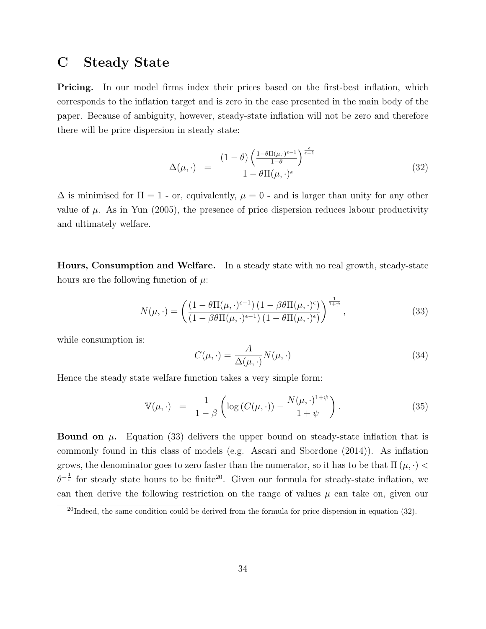### C Steady State

**Pricing.** In our model firms index their prices based on the first-best inflation, which corresponds to the inflation target and is zero in the case presented in the main body of the paper. Because of ambiguity, however, steady-state inflation will not be zero and therefore there will be price dispersion in steady state:

$$
\Delta(\mu, \cdot) = \frac{(1 - \theta) \left(\frac{1 - \theta \Pi(\mu, \cdot)^{\epsilon - 1}}{1 - \theta}\right)^{\frac{\epsilon}{\epsilon - 1}}}{1 - \theta \Pi(\mu, \cdot)^{\epsilon}}
$$
(32)

 $\Delta$  is minimised for  $\Pi = 1$  - or, equivalently,  $\mu = 0$  - and is larger than unity for any other value of  $\mu$ . As in Yun (2005), the presence of price dispersion reduces labour productivity and ultimately welfare.

Hours, Consumption and Welfare. In a steady state with no real growth, steady-state hours are the following function of  $\mu$ .

$$
N(\mu,\cdot) = \left(\frac{\left(1-\theta\Pi(\mu,\cdot)^{\epsilon-1}\right)\left(1-\beta\theta\Pi(\mu,\cdot)^{\epsilon}\right)}{\left(1-\beta\theta\Pi(\mu,\cdot)^{\epsilon-1}\right)\left(1-\theta\Pi(\mu,\cdot)^{\epsilon}\right)}\right)^{\frac{1}{1+\psi}},\tag{33}
$$

while consumption is:

$$
C(\mu, \cdot) = \frac{A}{\Delta(\mu, \cdot)} N(\mu, \cdot) \tag{34}
$$

Hence the steady state welfare function takes a very simple form:

$$
\mathbb{V}(\mu,\cdot) = \frac{1}{1-\beta} \left( \log \left( C(\mu,\cdot) \right) - \frac{N(\mu,\cdot)^{1+\psi}}{1+\psi} \right). \tag{35}
$$

**Bound on**  $\mu$ **.** Equation (33) delivers the upper bound on steady-state inflation that is commonly found in this class of models (e.g. Ascari and Sbordone (2014)). As inflation grows, the denominator goes to zero faster than the numerator, so it has to be that  $\Pi(\mu, \cdot)$  $\theta^{-\frac{1}{\epsilon}}$  for steady state hours to be finite<sup>20</sup>. Given our formula for steady-state inflation, we can then derive the following restriction on the range of values  $\mu$  can take on, given our

<sup>&</sup>lt;sup>20</sup>Indeed, the same condition could be derived from the formula for price dispersion in equation (32).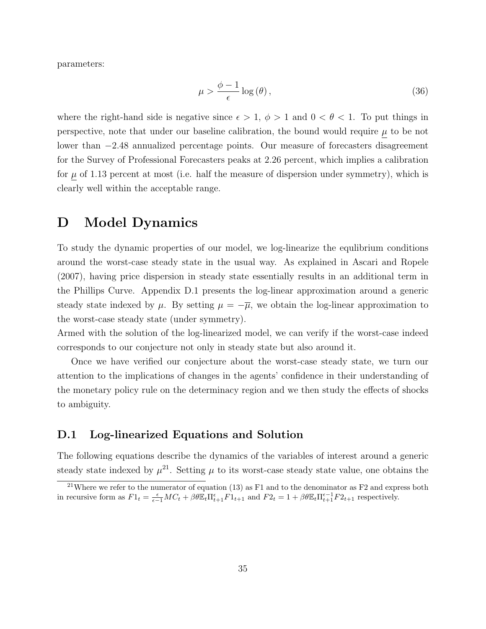parameters:

$$
\mu > \frac{\phi - 1}{\epsilon} \log(\theta),\tag{36}
$$

where the right-hand side is negative since  $\epsilon > 1$ ,  $\phi > 1$  and  $0 < \theta < 1$ . To put things in perspective, note that under our baseline calibration, the bound would require  $\mu$  to be not lower than −2.48 annualized percentage points. Our measure of forecasters disagreement for the Survey of Professional Forecasters peaks at 2.26 percent, which implies a calibration for  $\mu$  of 1.13 percent at most (i.e. half the measure of dispersion under symmetry), which is clearly well within the acceptable range.

### D Model Dynamics

To study the dynamic properties of our model, we log-linearize the equlibrium conditions around the worst-case steady state in the usual way. As explained in Ascari and Ropele (2007), having price dispersion in steady state essentially results in an additional term in the Phillips Curve. Appendix D.1 presents the log-linear approximation around a generic steady state indexed by  $\mu$ . By setting  $\mu = -\overline{\mu}$ , we obtain the log-linear approximation to the worst-case steady state (under symmetry).

Armed with the solution of the log-linearized model, we can verify if the worst-case indeed corresponds to our conjecture not only in steady state but also around it.

Once we have verified our conjecture about the worst-case steady state, we turn our attention to the implications of changes in the agents' confidence in their understanding of the monetary policy rule on the determinacy region and we then study the effects of shocks to ambiguity.

#### D.1 Log-linearized Equations and Solution

The following equations describe the dynamics of the variables of interest around a generic steady state indexed by  $\mu^{21}$ . Setting  $\mu$  to its worst-case steady state value, one obtains the

<sup>&</sup>lt;sup>21</sup>Where we refer to the numerator of equation (13) as F1 and to the denominator as F2 and express both in recursive form as  $F1_t = \frac{\epsilon}{\epsilon - 1}MC_t + \beta \theta \mathbb{E}_t \Pi_{t+1}^{\epsilon} \dot{F1}_{t+1}$  and  $F2_t = 1 + \beta \theta \mathbb{E}_t \Pi_{t+1}^{\epsilon-1} F2_{t+1}$  respectively.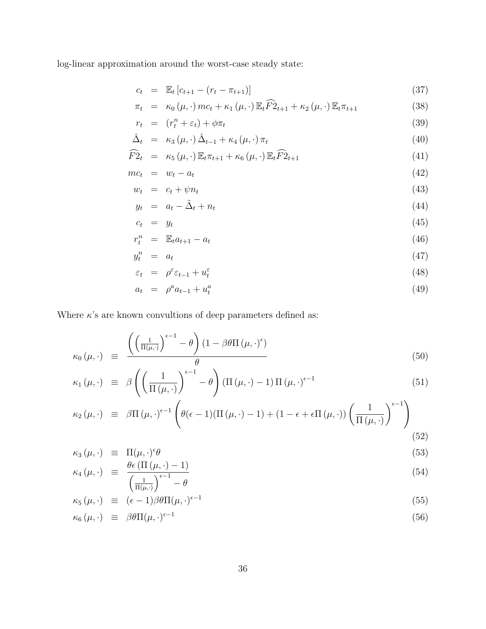log-linear approximation around the worst-case steady state:

$$
c_t = \mathbb{E}_t \left[ c_{t+1} - (r_t - \pi_{t+1}) \right] \tag{37}
$$

$$
\pi_t = \kappa_0(\mu, \cdot) mc_t + \kappa_1(\mu, \cdot) \mathbb{E}_t \widehat{F2}_{t+1} + \kappa_2(\mu, \cdot) \mathbb{E}_t \pi_{t+1}
$$
\n(38)

$$
r_t = (r_t^n + \varepsilon_t) + \phi \pi_t \tag{39}
$$

$$
\hat{\Delta}_t = \kappa_3(\mu, \cdot) \,\hat{\Delta}_{t-1} + \kappa_4(\mu, \cdot) \,\pi_t \tag{40}
$$

$$
\widehat{F2}_t = \kappa_5(\mu, \cdot) \mathbb{E}_t \pi_{t+1} + \kappa_6(\mu, \cdot) \mathbb{E}_t \widehat{F2}_{t+1} \tag{41}
$$

$$
mc_t = w_t - a_t \tag{42}
$$

$$
w_t = c_t + \psi n_t \tag{43}
$$

$$
y_t = a_t - \tilde{\Delta}_t + n_t \tag{44}
$$

$$
c_t = y_t \tag{45}
$$

$$
r_t^n = \mathbb{E}_t a_{t+1} - a_t \tag{46}
$$

$$
y_t^n = a_t \tag{47}
$$

$$
\varepsilon_t = \rho^{\varepsilon} \varepsilon_{t-1} + u_t^{\varepsilon} \tag{48}
$$

$$
a_t = \rho^a a_{t-1} + u_t^a \tag{49}
$$

Where  $\kappa$ 's are known convultions of deep parameters defined as:

$$
\kappa_0(\mu, \cdot) \equiv \frac{\left( \left( \frac{1}{\Pi(\mu, \cdot)} \right)^{\epsilon - 1} - \theta \right) (1 - \beta \theta \Pi \left( \mu, \cdot \right)^{\epsilon})}{\theta} \tag{50}
$$

$$
\kappa_1(\mu,\cdot) \equiv \beta \left( \left( \frac{1}{\Pi(\mu,\cdot)} \right)^{\epsilon-1} - \theta \right) (\Pi(\mu,\cdot) - 1) \Pi(\mu,\cdot)^{\epsilon-1} \tag{51}
$$

$$
\kappa_2(\mu, \cdot) \equiv \beta \Pi(\mu, \cdot)^{\epsilon - 1} \left( \theta(\epsilon - 1) (\Pi(\mu, \cdot) - 1) + (1 - \epsilon + \epsilon \Pi(\mu, \cdot)) \left( \frac{1}{\Pi(\mu, \cdot)} \right)^{\epsilon - 1} \right)
$$
\n(52)

$$
\kappa_3(\mu,\cdot) \equiv \Pi(\mu,\cdot)^{\epsilon}\theta \tag{53}
$$

$$
\kappa_4(\mu,\cdot) \equiv \frac{\theta \epsilon \left( \Pi \left( \mu, \cdot \right) - 1 \right)}{\left( \frac{1}{\Pi(\mu,\cdot)} \right)^{\epsilon - 1} - \theta} \tag{54}
$$

$$
\kappa_5(\mu, \cdot) \equiv (\epsilon - 1)\beta \theta \Pi(\mu, \cdot)^{\epsilon - 1} \tag{55}
$$

$$
\kappa_6(\mu,\cdot) \equiv \beta \theta \Pi(\mu,\cdot)^{\epsilon-1} \tag{56}
$$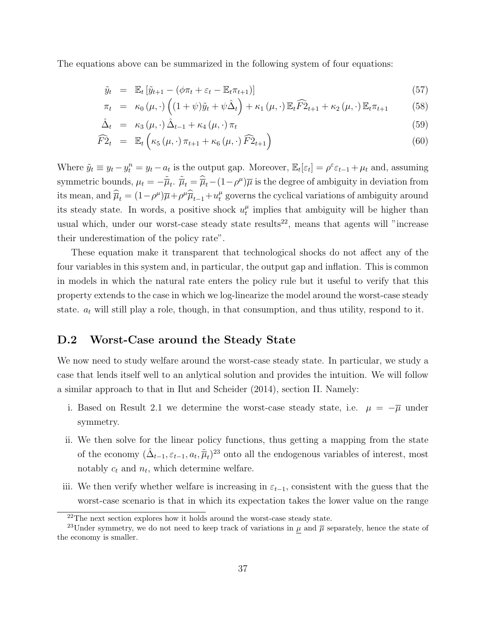The equations above can be summarized in the following system of four equations:

$$
\tilde{y}_t = \mathbb{E}_t \left[ \tilde{y}_{t+1} - (\phi \pi_t + \varepsilon_t - \mathbb{E}_t \pi_{t+1}) \right]
$$
\n(57)

$$
\pi_t = \kappa_0(\mu, \cdot) \left( (1 + \psi)\tilde{y}_t + \psi \hat{\Delta}_t \right) + \kappa_1(\mu, \cdot) \mathbb{E}_t \widehat{F2}_{t+1} + \kappa_2(\mu, \cdot) \mathbb{E}_t \pi_{t+1} \tag{58}
$$

$$
\hat{\Delta}_t = \kappa_3(\mu, \cdot) \hat{\Delta}_{t-1} + \kappa_4(\mu, \cdot) \pi_t \tag{59}
$$

$$
\widehat{F2}_t = \mathbb{E}_t \left( \kappa_5 \left( \mu, \cdot \right) \pi_{t+1} + \kappa_6 \left( \mu, \cdot \right) \widehat{F2}_{t+1} \right) \tag{60}
$$

Where  $\tilde{y}_t \equiv y_t - y_t^n = y_t - a_t$  is the output gap. Moreover,  $\mathbb{E}_t[\varepsilon_t] = \rho^{\varepsilon} \varepsilon_{t-1} + \mu_t$  and, assuming symmetric bounds,  $\mu_t = -\tilde{\overline{\mu}}_t$ .  $\tilde{\overline{\mu}}_t = \hat{\overline{\mu}}_t - (1 - \rho^{\mu})\overline{\mu}$  is the degree of ambiguity in deviation from its mean, and  $\hat{\overline{\mu}}_t = (1 - \rho^{\mu})\overline{\mu} + \rho^{\mu}\hat{\overline{\mu}}_{t-1} + u_t^{\mu}$  governs the cyclical variations of ambiguity around its steady state. In words, a positive shock  $u_t^{\mu}$  $t<sub>t</sub><sup>\mu</sup>$  implies that ambiguity will be higher than usual which, under our worst-case steady state results<sup>22</sup>, means that agents will "increase their underestimation of the policy rate".

These equation make it transparent that technological shocks do not affect any of the four variables in this system and, in particular, the output gap and inflation. This is common in models in which the natural rate enters the policy rule but it useful to verify that this property extends to the case in which we log-linearize the model around the worst-case steady state.  $a_t$  will still play a role, though, in that consumption, and thus utility, respond to it.

#### D.2 Worst-Case around the Steady State

We now need to study welfare around the worst-case steady state. In particular, we study a case that lends itself well to an anlytical solution and provides the intuition. We will follow a similar approach to that in Ilut and Scheider (2014), section II. Namely:

- i. Based on Result 2.1 we determine the worst-case steady state, i.e.  $\mu = -\overline{\mu}$  under symmetry.
- ii. We then solve for the linear policy functions, thus getting a mapping from the state of the economy  $(\hat{\Delta}_{t-1}, \varepsilon_{t-1}, a_t, \tilde{\overline{\mu}}_t)^{23}$  onto all the endogenous variables of interest, most notably  $c_t$  and  $n_t$ , which determine welfare.
- iii. We then verify whether welfare is increasing in  $\varepsilon_{t-1}$ , consistent with the guess that the worst-case scenario is that in which its expectation takes the lower value on the range

<sup>&</sup>lt;sup>22</sup>The next section explores how it holds around the worst-case steady state.

<sup>&</sup>lt;sup>23</sup>Under symmetry, we do not need to keep track of variations in  $\mu$  and  $\overline{\mu}$  separately, hence the state of the economy is smaller.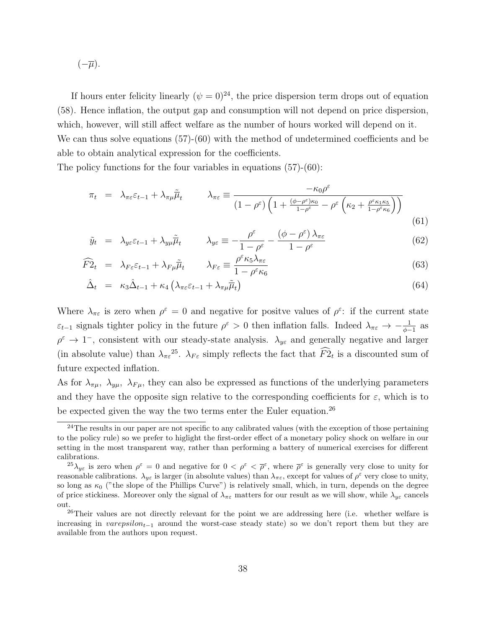$(-\overline{\mu}).$ 

If hours enter felicity linearly  $(\psi = 0)^{24}$ , the price dispersion term drops out of equation (58). Hence inflation, the output gap and consumption will not depend on price dispersion, which, however, will still affect welfare as the number of hours worked will depend on it. We can thus solve equations  $(57)-(60)$  with the method of undetermined coefficients and be able to obtain analytical expression for the coefficients.

The policy functions for the four variables in equations (57)-(60):

$$
\pi_t = \lambda_{\pi\varepsilon}\varepsilon_{t-1} + \lambda_{\pi\mu}\tilde{\mu}_t \qquad \lambda_{\pi\varepsilon} \equiv \frac{-\kappa_0\rho^{\varepsilon}}{(1-\rho^{\varepsilon})\left(1 + \frac{(\phi-\rho^{\varepsilon})\kappa_0}{1-\rho^{\varepsilon}} - \rho^{\varepsilon}\left(\kappa_2 + \frac{\rho^{\varepsilon}\kappa_1\kappa_5}{1-\rho^{\varepsilon}\kappa_6}\right)\right)}
$$
(61)

$$
\tilde{y}_t = \lambda_{y\varepsilon} \varepsilon_{t-1} + \lambda_{y\mu} \tilde{\overline{\mu}}_t \qquad \lambda_{y\varepsilon} \equiv -\frac{\rho^{\varepsilon}}{1 - \rho^{\varepsilon}} - \frac{(\phi - \rho^{\varepsilon})\lambda_{\pi\varepsilon}}{1 - \rho^{\varepsilon}}
$$
\n(62)

$$
\widehat{F2}_t = \lambda_{F\varepsilon} \varepsilon_{t-1} + \lambda_{F\mu} \widetilde{\overline{\mu}}_t \qquad \lambda_{F\varepsilon} \equiv \frac{\rho^{\varepsilon} \kappa_5 \lambda_{\pi\varepsilon}}{1 - \rho^{\varepsilon} \kappa_6} \tag{63}
$$

$$
\hat{\Delta}_t = \kappa_3 \hat{\Delta}_{t-1} + \kappa_4 \left( \lambda_{\pi \varepsilon} \varepsilon_{t-1} + \lambda_{\pi \mu} \tilde{\overline{\mu}}_t \right) \tag{64}
$$

Where  $\lambda_{\pi\varepsilon}$  is zero when  $\rho^{\varepsilon} = 0$  and negative for positve values of  $\rho^{\varepsilon}$ : if the current state  $\varepsilon_{t-1}$  signals tighter policy in the future  $\rho^{\varepsilon} > 0$  then inflation falls. Indeed  $\lambda_{\pi\varepsilon} \to -\frac{1}{\phi-1}$  as  $\rho^{\varepsilon} \to 1^-$ , consistent with our steady-state analysis.  $\lambda_{y\varepsilon}$  and generally negative and larger (in absolute value) than  $\lambda_{\pi\varepsilon}^{25}$ .  $\lambda_{F\varepsilon}$  simply reflects the fact that  $\widehat{F2}_t$  is a discounted sum of future expected inflation.

As for  $\lambda_{\pi\mu}$ ,  $\lambda_{\mu\mu}$ ,  $\lambda_{F\mu}$ , they can also be expressed as functions of the underlying parameters and they have the opposite sign relative to the corresponding coefficients for  $\varepsilon$ , which is to be expected given the way the two terms enter the Euler equation.<sup>26</sup>

<sup>&</sup>lt;sup>24</sup>The results in our paper are not specific to any calibrated values (with the exception of those pertaining to the policy rule) so we prefer to higlight the first-order effect of a monetary policy shock on welfare in our setting in the most transparent way, rather than performing a battery of numerical exercises for different calibrations.

<sup>&</sup>lt;sup>25</sup> $\lambda_{y\epsilon}$  is zero when  $\rho^{\epsilon} = 0$  and negative for  $0 < \rho^{\epsilon} < \overline{\rho}^{\epsilon}$ , where  $\overline{\rho}^{\epsilon}$  is generally very close to unity for reasonable calibrations.  $\lambda_{y\epsilon}$  is larger (in absolute values) than  $\lambda_{\pi\epsilon}$ , except for values of  $\rho^{\epsilon}$  very close to unity, so long as  $\kappa_0$  ("the slope of the Phillips Curve") is relatively small, which, in turn, depends on the degree of price stickiness. Moreover only the signal of  $\lambda_{\pi\varepsilon}$  matters for our result as we will show, while  $\lambda_{y\varepsilon}$  cancels out.

<sup>&</sup>lt;sup>26</sup>Their values are not directly relevant for the point we are addressing here (i.e. whether welfare is increasing in varepsilon<sub>t−1</sub> around the worst-case steady state) so we don't report them but they are available from the authors upon request.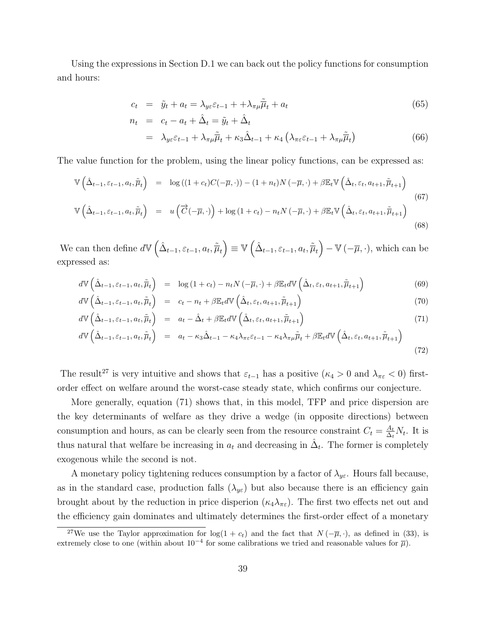Using the expressions in Section D.1 we can back out the policy functions for consumption and hours:

$$
c_t = \tilde{y}_t + a_t = \lambda_{y\epsilon} \varepsilon_{t-1} + \lambda_{\pi\mu} \tilde{\overline{\mu}}_t + a_t \tag{65}
$$

$$
n_{t} = c_{t} - a_{t} + \hat{\Delta}_{t} = \tilde{y}_{t} + \hat{\Delta}_{t}
$$
  
= 
$$
\lambda_{y\varepsilon}\varepsilon_{t-1} + \lambda_{\pi\mu}\tilde{\overline{\mu}}_{t} + \kappa_{3}\hat{\Delta}_{t-1} + \kappa_{4}\left(\lambda_{\pi\varepsilon}\varepsilon_{t-1} + \lambda_{\pi\mu}\tilde{\overline{\mu}}_{t}\right)
$$
(66)

The value function for the problem, using the linear policy functions, can be expressed as:

$$
\mathbb{V}\left(\hat{\Delta}_{t-1},\varepsilon_{t-1},a_{t},\tilde{\overline{\mu}}_{t}\right) = \log\left((1+c_{t})C(-\overline{\mu},\cdot)\right) - (1+n_{t})N\left(-\overline{\mu},\cdot\right) + \beta\mathbb{E}_{t}\mathbb{V}\left(\hat{\Delta}_{t},\varepsilon_{t},a_{t+1},\tilde{\overline{\mu}}_{t+1}\right)
$$
\n
$$
\mathbb{V}\left(\hat{\Delta}_{t-1},\varepsilon_{t-1},a_{t},\tilde{\overline{\mu}}_{t}\right) = u\left(\overrightarrow{C}(-\overline{\mu},\cdot)\right) + \log\left(1+c_{t}\right) - n_{t}N\left(-\overline{\mu},\cdot\right) + \beta\mathbb{E}_{t}\mathbb{V}\left(\hat{\Delta}_{t},\varepsilon_{t},a_{t+1},\tilde{\overline{\mu}}_{t+1}\right)
$$
\n(68)

We can then define  $d\mathbb{V}\left(\hat{\Delta}_{t-1}, \varepsilon_{t-1}, a_t, \tilde{\overline{\mu}}_t\right) \equiv \mathbb{V}\left(\hat{\Delta}_{t-1}, \varepsilon_{t-1}, a_t, \tilde{\overline{\mu}}_t\right) - \mathbb{V}\left(-\overline{\mu}, \cdot\right)$ , which can be expressed as:

$$
d\mathbb{V}\left(\hat{\Delta}_{t-1},\varepsilon_{t-1},a_{t},\tilde{\overline{\mu}}_{t}\right) = \log\left(1+c_{t}\right) - n_{t}N\left(-\overline{\mu},\cdot\right) + \beta\mathbb{E}_{t}d\mathbb{V}\left(\hat{\Delta}_{t},\varepsilon_{t},a_{t+1},\tilde{\overline{\mu}}_{t+1}\right)
$$
(69)

$$
d\mathbb{V}\left(\hat{\Delta}_{t-1},\varepsilon_{t-1},a_{t},\tilde{\overline{\mu}}_{t}\right) = c_{t} - n_{t} + \beta \mathbb{E}_{t}d\mathbb{V}\left(\hat{\Delta}_{t},\varepsilon_{t},a_{t+1},\tilde{\overline{\mu}}_{t+1}\right)
$$
\n(70)

$$
d\mathbb{V}\left(\hat{\Delta}_{t-1},\varepsilon_{t-1},a_{t},\tilde{\overline{\mu}}_{t}\right) = a_{t} - \hat{\Delta}_{t} + \beta \mathbb{E}_{t}d\mathbb{V}\left(\hat{\Delta}_{t},\varepsilon_{t},a_{t+1},\tilde{\overline{\mu}}_{t+1}\right)
$$
\n(71)

$$
d\mathbb{V}\left(\hat{\Delta}_{t-1},\varepsilon_{t-1},a_{t},\tilde{\overline{\mu}}_{t}\right) = a_{t} - \kappa_{3}\hat{\Delta}_{t-1} - \kappa_{4}\lambda_{\pi\varepsilon}\varepsilon_{t-1} - \kappa_{4}\lambda_{\pi\mu}\tilde{\overline{\mu}}_{t} + \beta\mathbb{E}_{t}d\mathbb{V}\left(\hat{\Delta}_{t},\varepsilon_{t},a_{t+1},\tilde{\overline{\mu}}_{t+1}\right)
$$
\n(72)

The result<sup>27</sup> is very intuitive and shows that  $\varepsilon_{t-1}$  has a positive ( $\kappa_4 > 0$  and  $\lambda_{\pi\varepsilon} < 0$ ) firstorder effect on welfare around the worst-case steady state, which confirms our conjecture.

More generally, equation (71) shows that, in this model, TFP and price dispersion are the key determinants of welfare as they drive a wedge (in opposite directions) between consumption and hours, as can be clearly seen from the resource constraint  $C_t = \frac{A_t}{\Delta t}$  $\frac{A_t}{\Delta_t} N_t$ . It is thus natural that welfare be increasing in  $a_t$  and decreasing in  $\hat{\Delta}_t$ . The former is completely exogenous while the second is not.

A monetary policy tightening reduces consumption by a factor of  $\lambda_{ye}$ . Hours fall because, as in the standard case, production falls  $(\lambda_{ye})$  but also because there is an efficiency gain brought about by the reduction in price disperion  $(\kappa_4 \lambda_{\pi \varepsilon})$ . The first two effects net out and the efficiency gain dominates and ultimately determines the first-order effect of a monetary

<sup>&</sup>lt;sup>27</sup>We use the Taylor approximation for  $\log(1 + c_t)$  and the fact that  $N(-\overline{\mu}, \cdot)$ , as defined in (33), is extremely close to one (within about  $10^{-4}$  for some calibrations we tried and reasonable values for  $\overline{\mu}$ ).